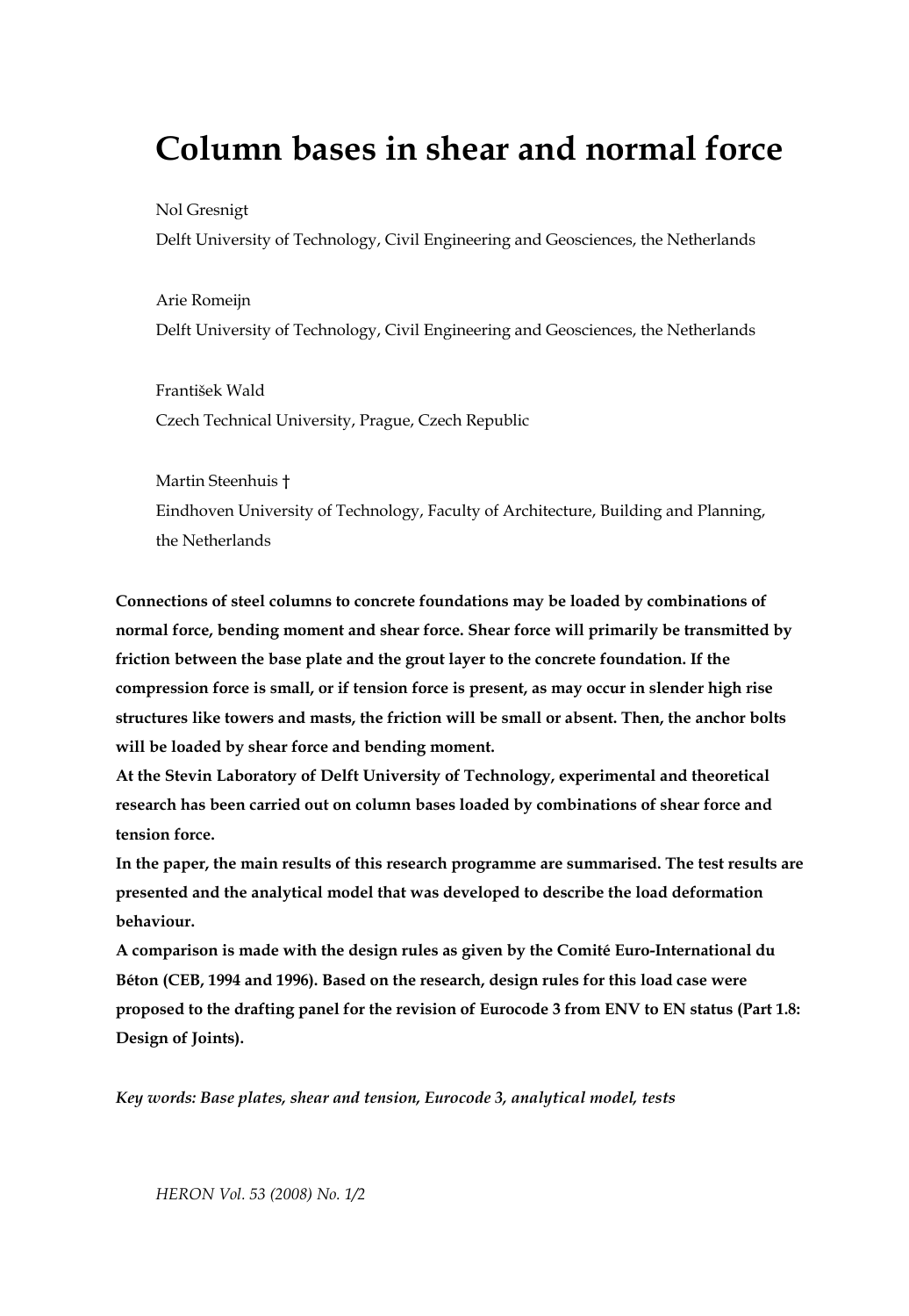# **Column bases in shear and normal force**

#### Nol Gresnigt

Delft University of Technology, Civil Engineering and Geosciences, the Netherlands

Arie Romeijn Delft University of Technology, Civil Engineering and Geosciences, the Netherlands

František Wald Czech Technical University, Prague, Czech Republic

Martin Steenhuis † Eindhoven University of Technology, Faculty of Architecture, Building and Planning, the Netherlands

**Connections of steel columns to concrete foundations may be loaded by combinations of normal force, bending moment and shear force. Shear force will primarily be transmitted by friction between the base plate and the grout layer to the concrete foundation. If the compression force is small, or if tension force is present, as may occur in slender high rise structures like towers and masts, the friction will be small or absent. Then, the anchor bolts will be loaded by shear force and bending moment.** 

**At the Stevin Laboratory of Delft University of Technology, experimental and theoretical research has been carried out on column bases loaded by combinations of shear force and tension force.** 

**In the paper, the main results of this research programme are summarised. The test results are presented and the analytical model that was developed to describe the load deformation behaviour.** 

**A comparison is made with the design rules as given by the Comité Euro-International du Béton (CEB, 1994 and 1996). Based on the research, design rules for this load case were proposed to the drafting panel for the revision of Eurocode 3 from ENV to EN status (Part 1.8: Design of Joints).** 

*Key words: Base plates, shear and tension, Eurocode 3, analytical model, tests*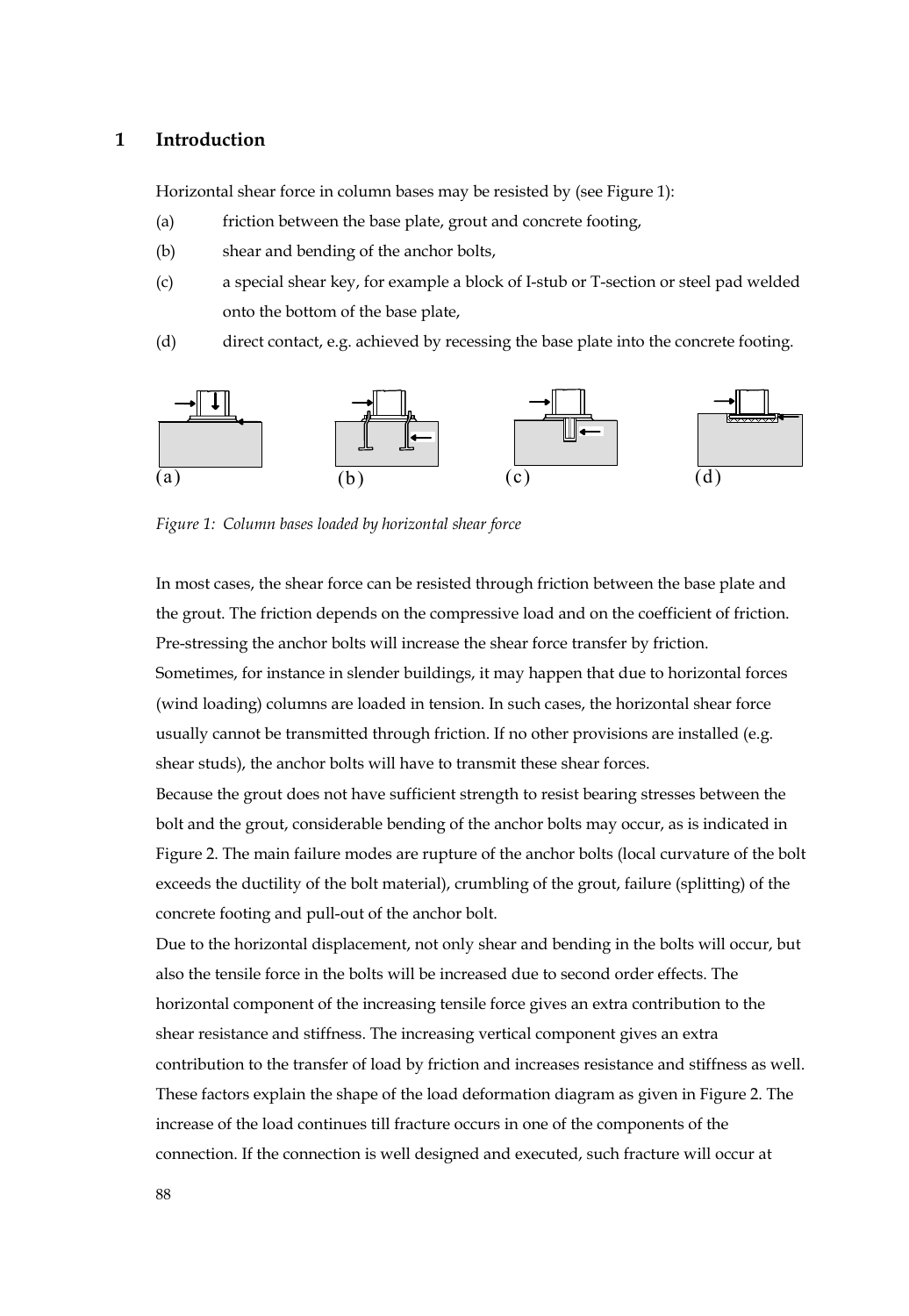## **1 Introduction**

Horizontal shear force in column bases may be resisted by (see Figure 1):

- (a) friction between the base plate, grout and concrete footing,
- (b) shear and bending of the anchor bolts,
- (c) a special shear key, for example a block of I-stub or T-section or steel pad welded onto the bottom of the base plate,
- (d) direct contact, e.g. achieved by recessing the base plate into the concrete footing.



*Figure 1: Column bases loaded by horizontal shear force* 

In most cases, the shear force can be resisted through friction between the base plate and the grout. The friction depends on the compressive load and on the coefficient of friction. Pre-stressing the anchor bolts will increase the shear force transfer by friction. Sometimes, for instance in slender buildings, it may happen that due to horizontal forces (wind loading) columns are loaded in tension. In such cases, the horizontal shear force usually cannot be transmitted through friction. If no other provisions are installed (e.g. shear studs), the anchor bolts will have to transmit these shear forces.

Because the grout does not have sufficient strength to resist bearing stresses between the bolt and the grout, considerable bending of the anchor bolts may occur, as is indicated in Figure 2. The main failure modes are rupture of the anchor bolts (local curvature of the bolt exceeds the ductility of the bolt material), crumbling of the grout, failure (splitting) of the concrete footing and pull-out of the anchor bolt.

Due to the horizontal displacement, not only shear and bending in the bolts will occur, but also the tensile force in the bolts will be increased due to second order effects. The horizontal component of the increasing tensile force gives an extra contribution to the shear resistance and stiffness. The increasing vertical component gives an extra contribution to the transfer of load by friction and increases resistance and stiffness as well. These factors explain the shape of the load deformation diagram as given in Figure 2. The increase of the load continues till fracture occurs in one of the components of the connection. If the connection is well designed and executed, such fracture will occur at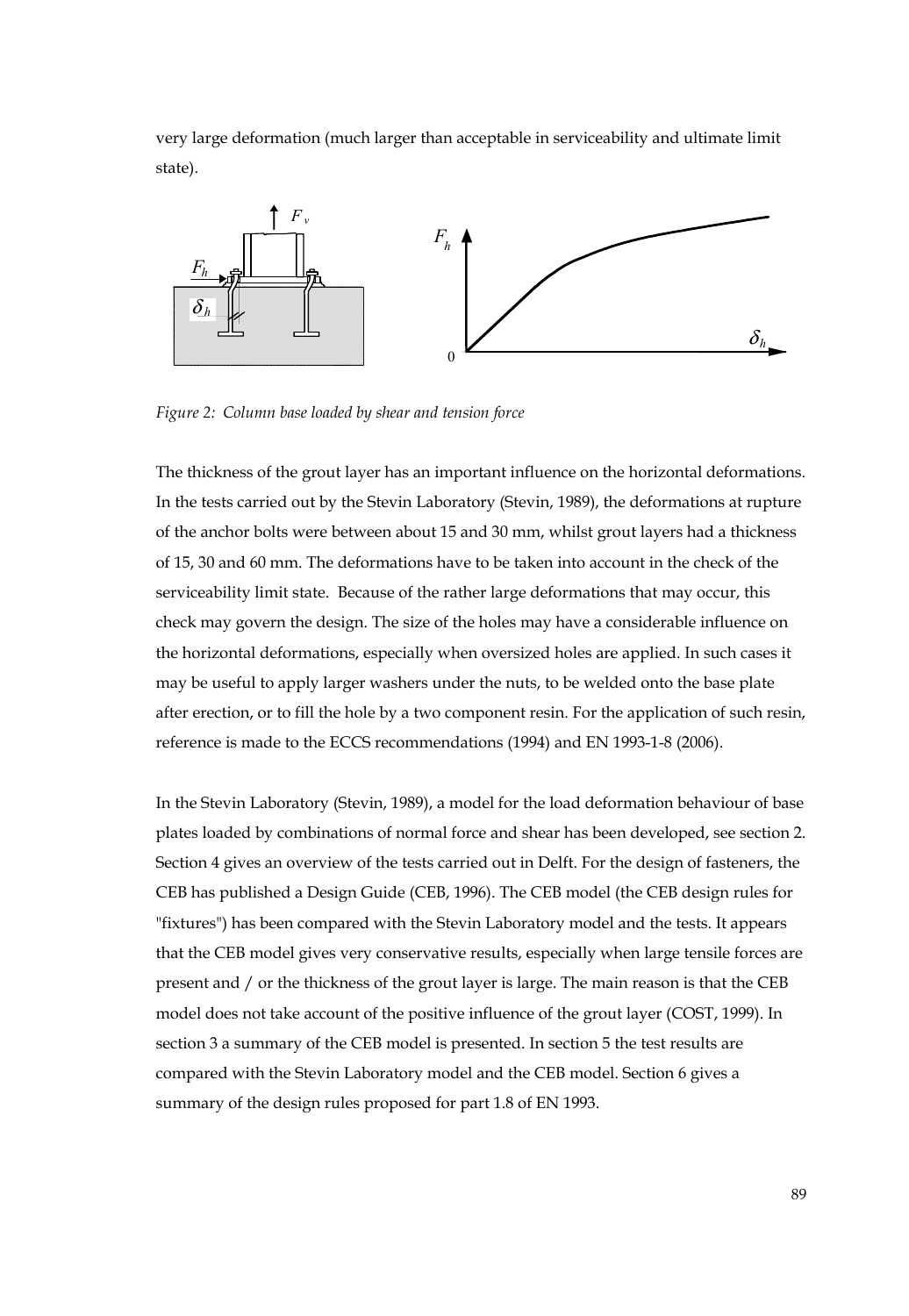very large deformation (much larger than acceptable in serviceability and ultimate limit state).



*Figure 2: Column base loaded by shear and tension force* 

The thickness of the grout layer has an important influence on the horizontal deformations. In the tests carried out by the Stevin Laboratory (Stevin, 1989), the deformations at rupture of the anchor bolts were between about 15 and 30 mm, whilst grout layers had a thickness of 15, 30 and 60 mm. The deformations have to be taken into account in the check of the serviceability limit state. Because of the rather large deformations that may occur, this check may govern the design. The size of the holes may have a considerable influence on the horizontal deformations, especially when oversized holes are applied. In such cases it may be useful to apply larger washers under the nuts, to be welded onto the base plate after erection, or to fill the hole by a two component resin. For the application of such resin, reference is made to the ECCS recommendations (1994) and EN 1993-1-8 (2006).

In the Stevin Laboratory (Stevin, 1989), a model for the load deformation behaviour of base plates loaded by combinations of normal force and shear has been developed, see section 2. Section 4 gives an overview of the tests carried out in Delft. For the design of fasteners, the CEB has published a Design Guide (CEB, 1996). The CEB model (the CEB design rules for "fixtures") has been compared with the Stevin Laboratory model and the tests. It appears that the CEB model gives very conservative results, especially when large tensile forces are present and / or the thickness of the grout layer is large. The main reason is that the CEB model does not take account of the positive influence of the grout layer (COST, 1999). In section 3 a summary of the CEB model is presented. In section 5 the test results are compared with the Stevin Laboratory model and the CEB model. Section 6 gives a summary of the design rules proposed for part 1.8 of EN 1993.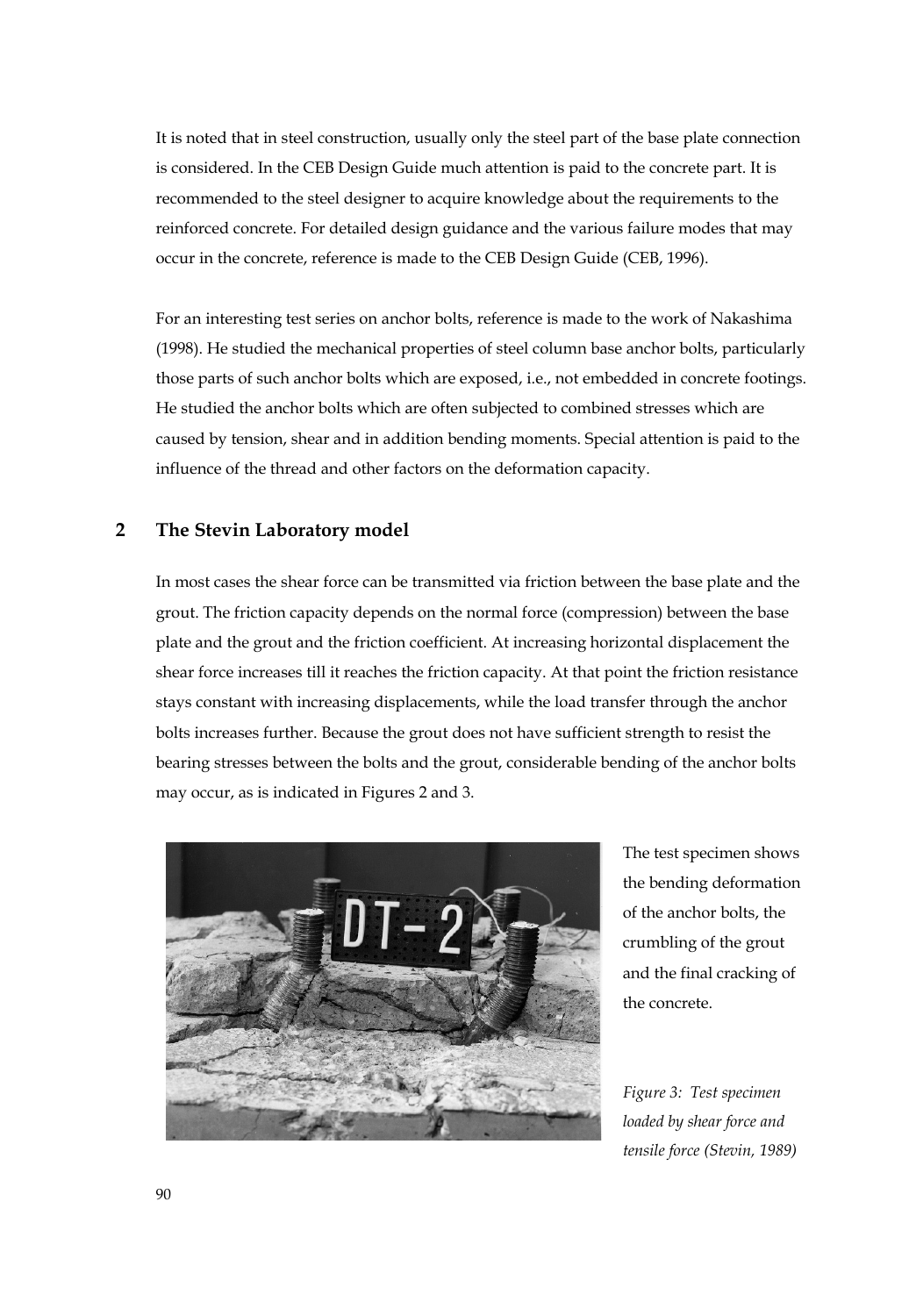It is noted that in steel construction, usually only the steel part of the base plate connection is considered. In the CEB Design Guide much attention is paid to the concrete part. It is recommended to the steel designer to acquire knowledge about the requirements to the reinforced concrete. For detailed design guidance and the various failure modes that may occur in the concrete, reference is made to the CEB Design Guide (CEB, 1996).

For an interesting test series on anchor bolts, reference is made to the work of Nakashima (1998). He studied the mechanical properties of steel column base anchor bolts, particularly those parts of such anchor bolts which are exposed, i.e., not embedded in concrete footings. He studied the anchor bolts which are often subjected to combined stresses which are caused by tension, shear and in addition bending moments. Special attention is paid to the influence of the thread and other factors on the deformation capacity.

# **2 The Stevin Laboratory model**

In most cases the shear force can be transmitted via friction between the base plate and the grout. The friction capacity depends on the normal force (compression) between the base plate and the grout and the friction coefficient. At increasing horizontal displacement the shear force increases till it reaches the friction capacity. At that point the friction resistance stays constant with increasing displacements, while the load transfer through the anchor bolts increases further. Because the grout does not have sufficient strength to resist the bearing stresses between the bolts and the grout, considerable bending of the anchor bolts may occur, as is indicated in Figures 2 and 3.



The test specimen shows the bending deformation of the anchor bolts, the crumbling of the grout and the final cracking of the concrete.

*Figure 3: Test specimen loaded by shear force and tensile force (Stevin, 1989)*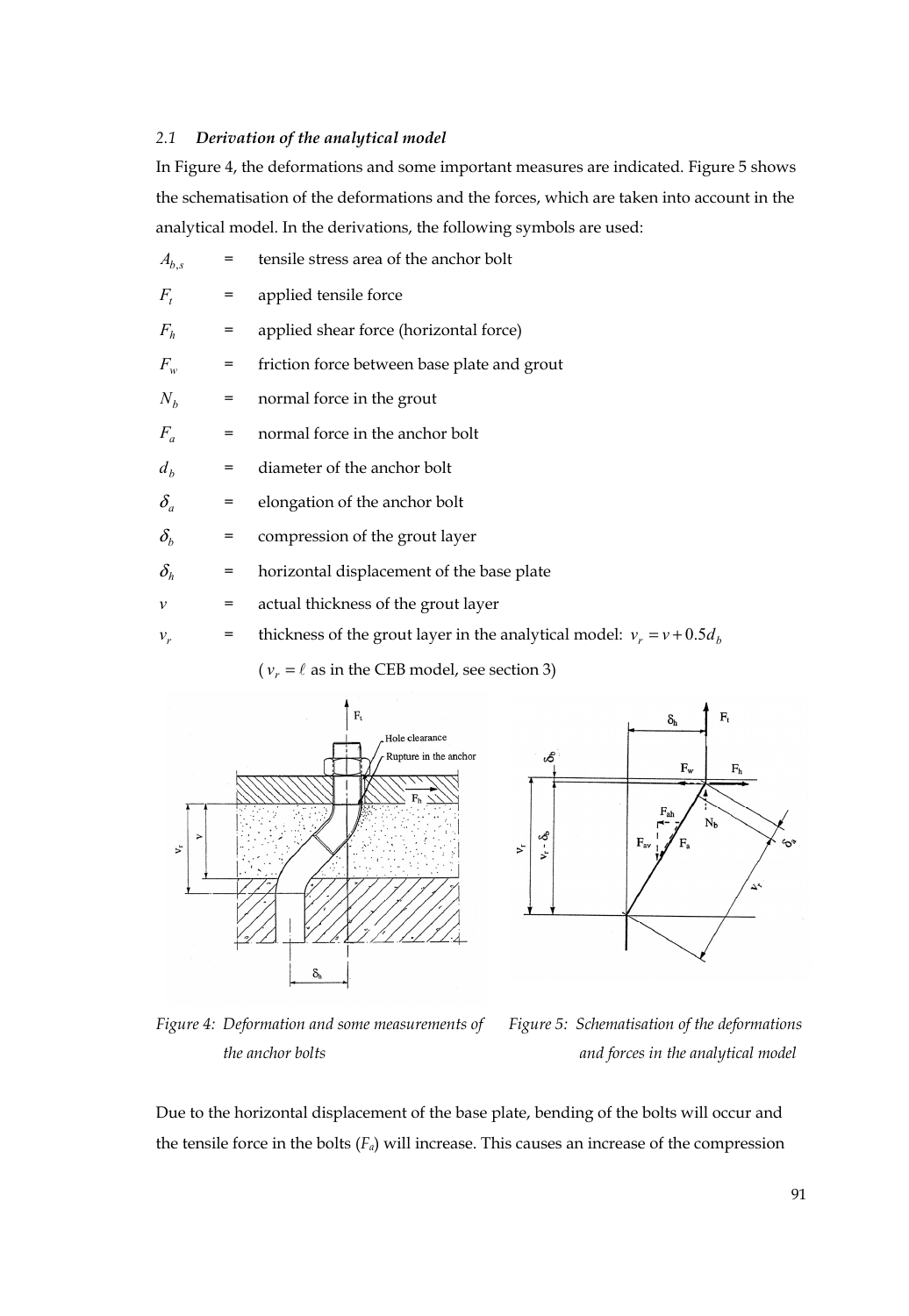## *2.1 Derivation of the analytical model*

In Figure 4, the deformations and some important measures are indicated. Figure 5 shows the schematisation of the deformations and the forces, which are taken into account in the analytical model. In the derivations, the following symbols are used:

| $A_{b,s}$     | $=$ | tensile stress area of the anchor bolt                                   |
|---------------|-----|--------------------------------------------------------------------------|
| $F_t$         | $=$ | applied tensile force                                                    |
| $F_h$         | $=$ | applied shear force (horizontal force)                                   |
| $F_{w}$       | $=$ | friction force between base plate and grout                              |
| $N_h$         | =   | normal force in the grout                                                |
| $F_a$         | $=$ | normal force in the anchor bolt                                          |
| $d_h$         | $=$ | diameter of the anchor bolt                                              |
| $\delta_a$    | $=$ | elongation of the anchor bolt                                            |
| $\delta_b$    | =   | compression of the grout layer                                           |
| $\delta_h$    | $=$ | horizontal displacement of the base plate                                |
| $\mathcal{V}$ | $=$ | actual thickness of the grout layer                                      |
| $v_r$         | =   | thickness of the grout layer in the analytical model: $v_r = v + 0.5d_h$ |
|               |     |                                                                          |



( $v_r = l$  as in the CEB model, see section 3)

*Figure 4: Deformation and some measurements of the anchor bolts* 



Due to the horizontal displacement of the base plate, bending of the bolts will occur and the tensile force in the bolts (*Fa*) will increase. This causes an increase of the compression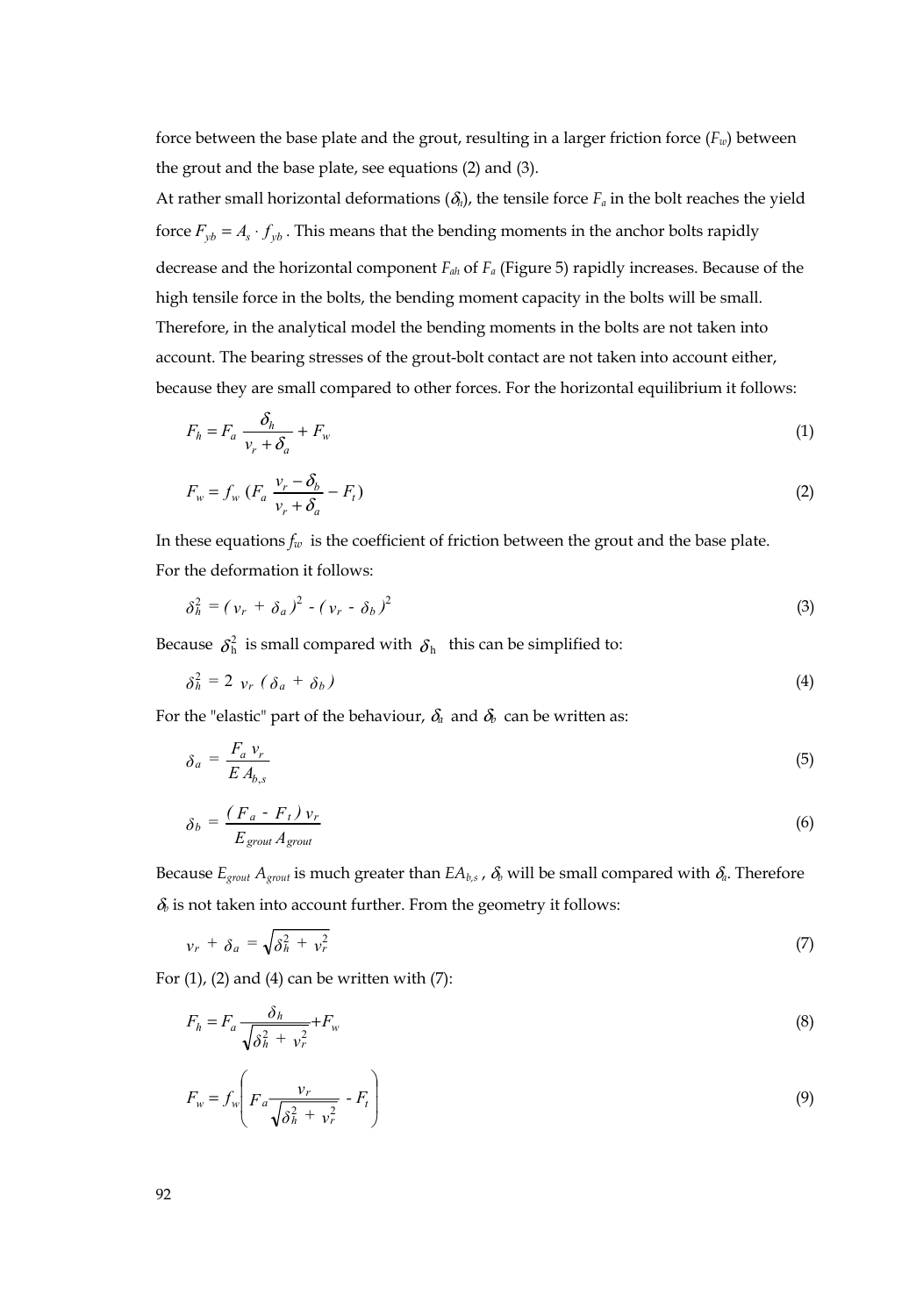force between the base plate and the grout, resulting in a larger friction force  $(F_w)$  between the grout and the base plate, see equations (2) and (3).

At rather small horizontal deformations  $(\delta_n)$ , the tensile force  $F_a$  in the bolt reaches the yield force  $F_{vb} = A_s \cdot f_{vb}$ . This means that the bending moments in the anchor bolts rapidly decrease and the horizontal component *Fah* of *Fa* (Figure 5) rapidly increases. Because of the high tensile force in the bolts, the bending moment capacity in the bolts will be small. Therefore, in the analytical model the bending moments in the bolts are not taken into account. The bearing stresses of the grout-bolt contact are not taken into account either, because they are small compared to other forces. For the horizontal equilibrium it follows:

$$
F_h = F_a \frac{\delta_h}{\nu_r + \delta_a} + F_w \tag{1}
$$

$$
F_w = f_w \left( F_a \frac{v_r - \delta_b}{v_r + \delta_a} - F_t \right) \tag{2}
$$

In these equations  $f_w$  is the coefficient of friction between the grout and the base plate. For the deformation it follows:

$$
\delta_h^2 = \left(v_r + \delta_a\right)^2 - \left(v_r - \delta_b\right)^2\tag{3}
$$

Because  $\delta_h^2$  is small compared with  $\delta_h$  this can be simplified to:

$$
\delta_h^2 = 2 \, \nu_r \left( \delta_a + \delta_b \right) \tag{4}
$$

For the "elastic" part of the behaviour,  $\delta_a$  and  $\delta_b$  can be written as:

$$
\delta_a = \frac{F_a v_r}{E A_{b,s}} \tag{5}
$$

$$
\delta_b = \frac{(F_a - F_t) v_r}{E_{\text{growth}}}
$$
\n(6)

Because  $E_{growth}$   $A_{growth}$  is much greater than  $EA_{b,s}$ ,  $\delta_b$  will be small compared with  $\delta_a$ . Therefore  $\delta<sub>b</sub>$  is not taken into account further. From the geometry it follows:

$$
\nu_r + \delta_a = \sqrt{\delta_h^2 + \nu_r^2} \tag{7}
$$

For  $(1)$ ,  $(2)$  and  $(4)$  can be written with  $(7)$ :

$$
F_h = F_a \frac{\delta_h}{\sqrt{\delta_h^2 + \nu_r^2}} + F_w \tag{8}
$$

$$
F_w = f_w \left( F_a \frac{v_r}{\sqrt{\delta_h^2 + v_r^2}} - F_t \right) \tag{9}
$$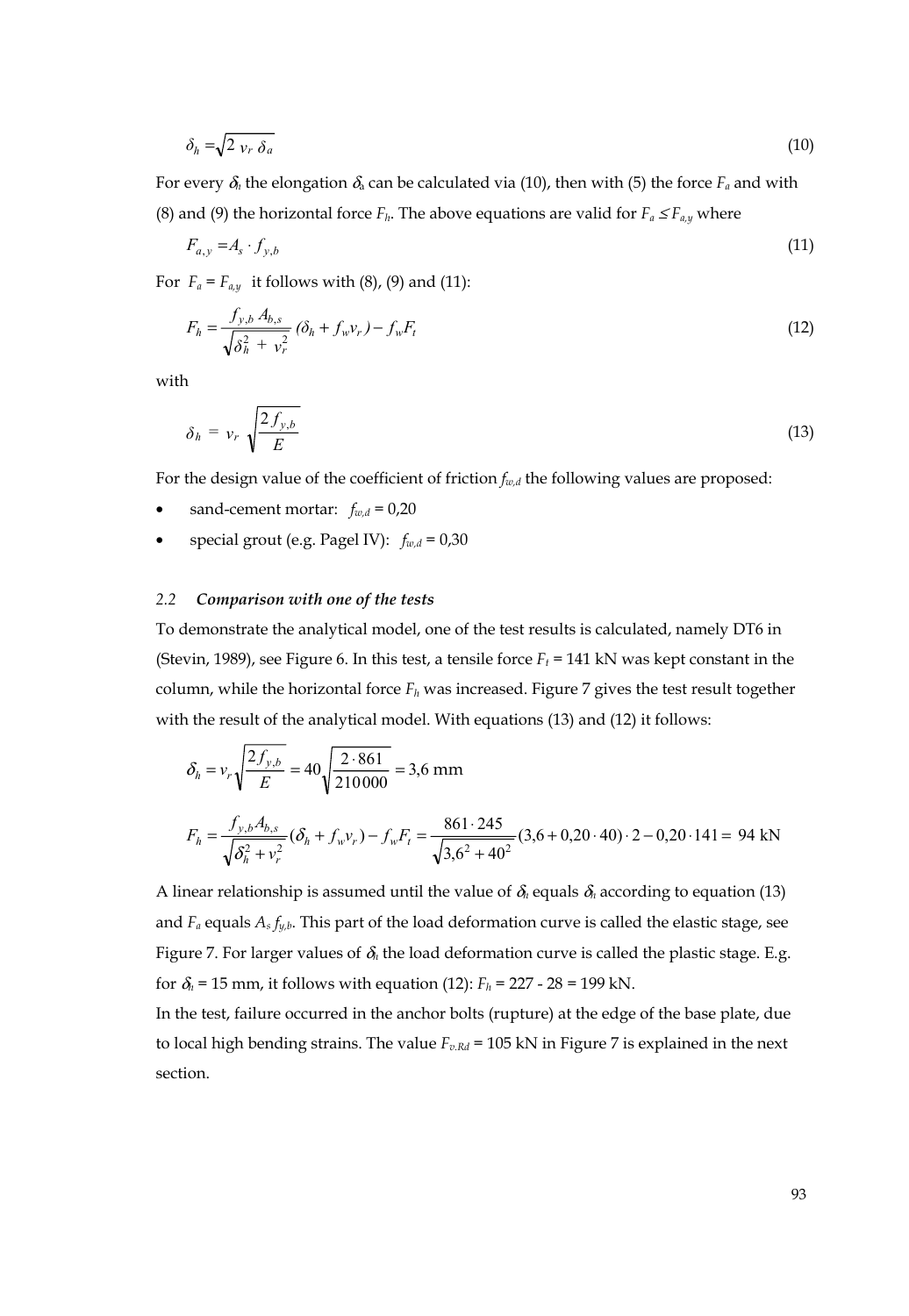$$
\delta_h = \sqrt{2 \, v_r \, \delta_a} \tag{10}
$$

For every  $\delta_h$  the elongation  $\delta_a$  can be calculated via (10), then with (5) the force  $F_a$  and with (8) and (9) the horizontal force  $F_h$ . The above equations are valid for  $F_a \leq F_{a,y}$  where

$$
F_{a,y} = A_s \cdot f_{y,b} \tag{11}
$$

For  $F_a = F_{a,y}$  it follows with (8), (9) and (11):

$$
F_h = \frac{f_{y,b} A_{b,s}}{\sqrt{\delta_h^2 + v_r^2}} (\delta_h + f_w v_r) - f_w F_t
$$
\n(12)

with

$$
\delta_h = v_r \sqrt{\frac{2f_{y,b}}{E}} \tag{13}
$$

For the design value of the coefficient of friction  $f_{wd}$  the following values are proposed:

- sand-cement mortar:  $f_{w,d} = 0.20$
- special grout (e.g. Pagel IV):  $f_{w,d} = 0,30$

#### *2.2 Comparison with one of the tests*

To demonstrate the analytical model, one of the test results is calculated, namely DT6 in (Stevin, 1989), see Figure 6. In this test, a tensile force  $F_t = 141$  kN was kept constant in the column, while the horizontal force  $F_h$  was increased. Figure 7 gives the test result together with the result of the analytical model. With equations (13) and (12) it follows:

$$
\delta_h = v_r \sqrt{\frac{2 f_{y,b}}{E}} = 40 \sqrt{\frac{2 \cdot 861}{210000}} = 3,6 \text{ mm}
$$
  

$$
F_h = \frac{f_{y,b} A_{b,s}}{\sqrt{\delta_h^2 + v_r^2}} (\delta_h + f_w v_r) - f_w F_t = \frac{861 \cdot 245}{\sqrt{3,6^2 + 40^2}} (3,6 + 0,20 \cdot 40) \cdot 2 - 0,20 \cdot 141 = 94 \text{ kN}
$$

A linear relationship is assumed until the value of  $\delta_h$  equals  $\delta_h$  according to equation (13) and  $F_a$  equals  $A_s f_{y,b}$ . This part of the load deformation curve is called the elastic stage, see Figure 7. For larger values of  $\delta_h$  the load deformation curve is called the plastic stage. E.g. for  $\delta_h$  = 15 mm, it follows with equation (12):  $F_h$  = 227 - 28 = 199 kN.

In the test, failure occurred in the anchor bolts (rupture) at the edge of the base plate, due to local high bending strains. The value  $F_{v, Rd} = 105$  kN in Figure 7 is explained in the next section.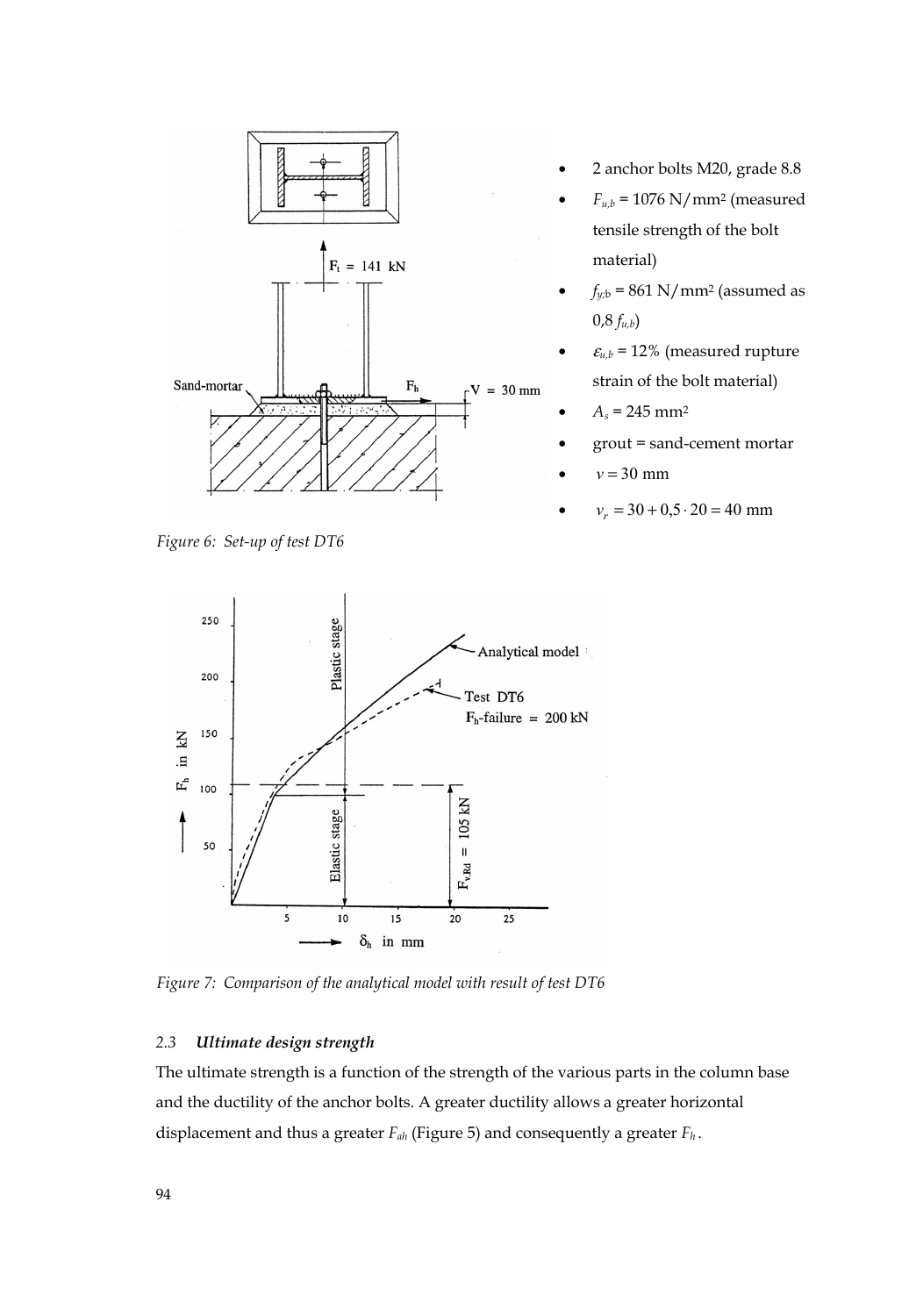

*Figure 6: Set-up of test DT6* 

- 2 anchor bolts M20, grade 8.8
- $F_{u,b}$  = 1076 N/mm<sup>2</sup> (measured tensile strength of the bolt material)
- $f_{y;b}$  = 861 N/mm<sup>2</sup> (assumed as 0,8 *fu,b*)
- $\varepsilon_{u,b}$  = 12% (measured rupture strain of the bolt material)
- $A_s = 245$  mm<sup>2</sup>
- grout = sand-cement mortar
- $v = 30$  mm
- $v_r = 30 + 0.5 \cdot 20 = 40$  mm



*Figure 7: Comparison of the analytical model with result of test DT6* 

#### *2.3 Ultimate design strength*

The ultimate strength is a function of the strength of the various parts in the column base and the ductility of the anchor bolts. A greater ductility allows a greater horizontal displacement and thus a greater *Fah* (Figure 5) and consequently a greater *Fh* .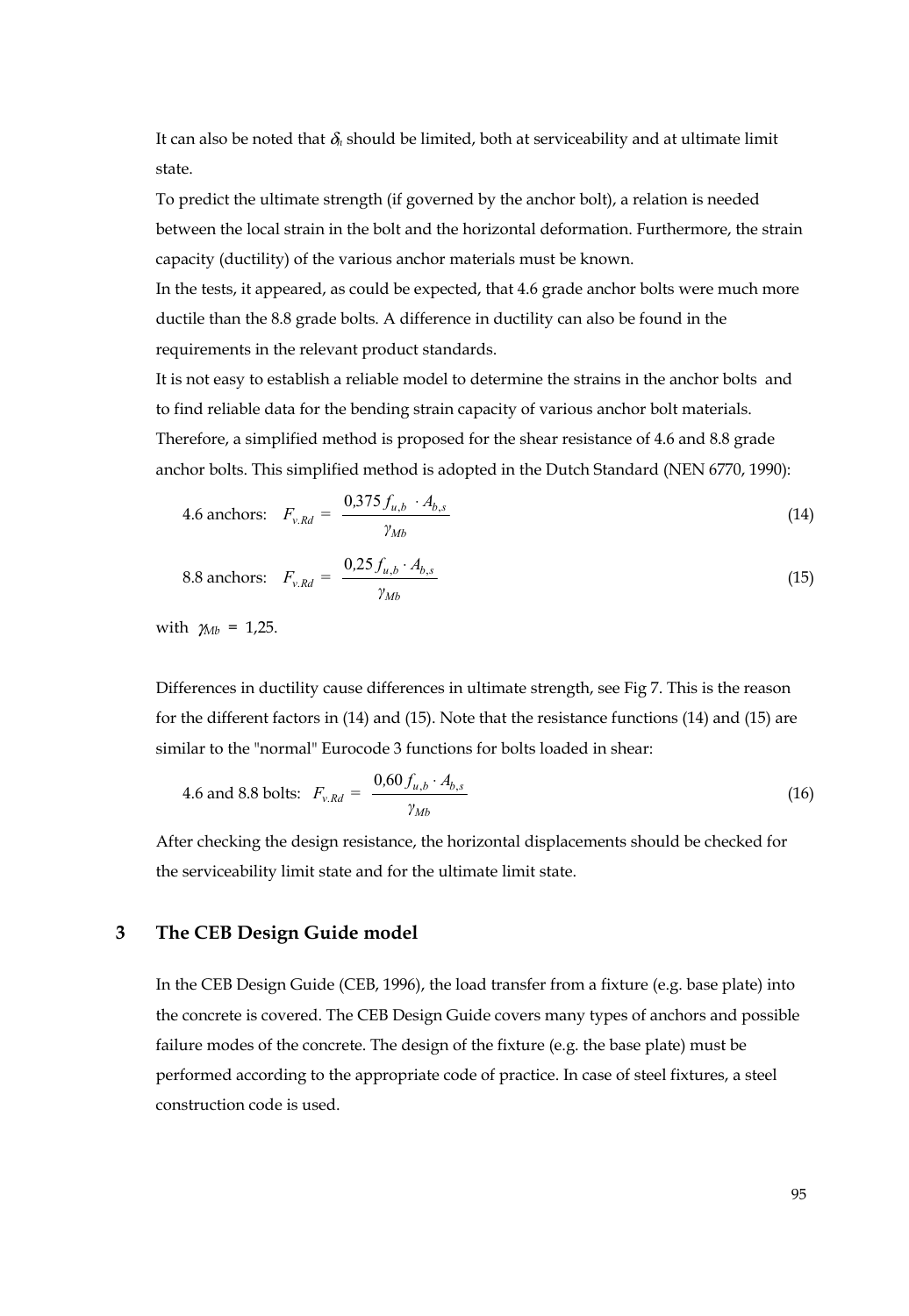It can also be noted that δ*h* should be limited, both at serviceability and at ultimate limit state.

To predict the ultimate strength (if governed by the anchor bolt), a relation is needed between the local strain in the bolt and the horizontal deformation. Furthermore, the strain capacity (ductility) of the various anchor materials must be known.

In the tests, it appeared, as could be expected, that 4.6 grade anchor bolts were much more ductile than the 8.8 grade bolts. A difference in ductility can also be found in the requirements in the relevant product standards.

It is not easy to establish a reliable model to determine the strains in the anchor bolts and to find reliable data for the bending strain capacity of various anchor bolt materials. Therefore, a simplified method is proposed for the shear resistance of 4.6 and 8.8 grade anchor bolts. This simplified method is adopted in the Dutch Standard (NEN 6770, 1990):

4.6 anchors: 
$$
F_{v,Rd} = \frac{0.375 f_{u,b} \cdot A_{b,s}}{\gamma_{Mb}}
$$
 (14)

8.8 anchors: 
$$
F_{v, Rd} = \frac{0.25 f_{u,b} \cdot A_{b,s}}{\gamma_{Mb}}
$$
 (15)

with γ*Mb* = 1,25.

Differences in ductility cause differences in ultimate strength, see Fig 7. This is the reason for the different factors in (14) and (15). Note that the resistance functions (14) and (15) are similar to the "normal" Eurocode 3 functions for bolts loaded in shear:

4.6 and 8.8 bolts: 
$$
F_{v, Rd} = \frac{0.60 f_{u,b} \cdot A_{b,s}}{\gamma_{Mb}}
$$
 (16)

After checking the design resistance, the horizontal displacements should be checked for the serviceability limit state and for the ultimate limit state.

## **3 The CEB Design Guide model**

In the CEB Design Guide (CEB, 1996), the load transfer from a fixture (e.g. base plate) into the concrete is covered. The CEB Design Guide covers many types of anchors and possible failure modes of the concrete. The design of the fixture (e.g. the base plate) must be performed according to the appropriate code of practice. In case of steel fixtures, a steel construction code is used.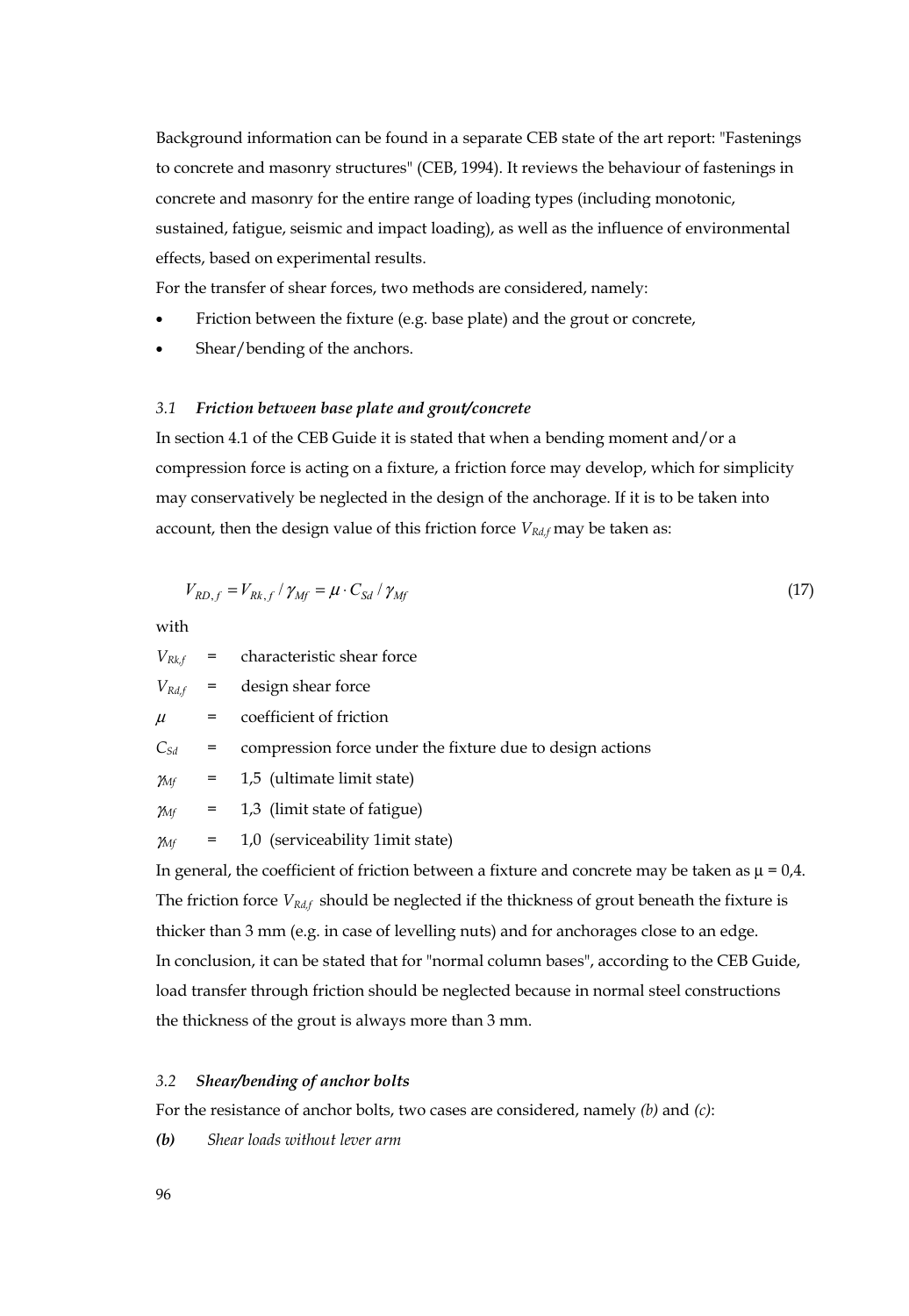Background information can be found in a separate CEB state of the art report: "Fastenings to concrete and masonry structures" (CEB, 1994). It reviews the behaviour of fastenings in concrete and masonry for the entire range of loading types (including monotonic, sustained, fatigue, seismic and impact loading), as well as the influence of environmental effects, based on experimental results.

For the transfer of shear forces, two methods are considered, namely:

- Friction between the fixture (e.g. base plate) and the grout or concrete,
- Shear/bending of the anchors.

#### *3.1 Friction between base plate and grout/concrete*

In section 4.1 of the CEB Guide it is stated that when a bending moment and/or a compression force is acting on a fixture, a friction force may develop, which for simplicity may conservatively be neglected in the design of the anchorage. If it is to be taken into account, then the design value of this friction force  $V_{Rdf}$  may be taken as:

$$
V_{RD,f} = V_{Rk,f} / \gamma_{Mf} = \mu \cdot C_{Sd} / \gamma_{Mf}
$$
\n
$$
(17)
$$

with

 $V_{Rk,f}$  = characteristic shear force

 $V_{Rdf}$  = design shear force

 $\mu$  = coefficient of friction

 $C_{Sd}$  = compression force under the fixture due to design actions

 $\gamma_{Mf}$  = 1,5 (ultimate limit state)

$$
\gamma_{Mf}
$$
 = 1.3 (limit state of fatigue)

 $\gamma_{Mf}$  = 1,0 (serviceability 1imit state)

In general, the coefficient of friction between a fixture and concrete may be taken as  $\mu = 0.4$ . The friction force  $V_{Rdf}$  should be neglected if the thickness of grout beneath the fixture is thicker than 3 mm (e.g. in case of levelling nuts) and for anchorages close to an edge. In conclusion, it can be stated that for "normal column bases", according to the CEB Guide, load transfer through friction should be neglected because in normal steel constructions the thickness of the grout is always more than 3 mm.

#### *3.2 Shear/bending of anchor bolts*

For the resistance of anchor bolts, two cases are considered, namely *(b)* and *(c)*:

*(b) Shear loads without lever arm*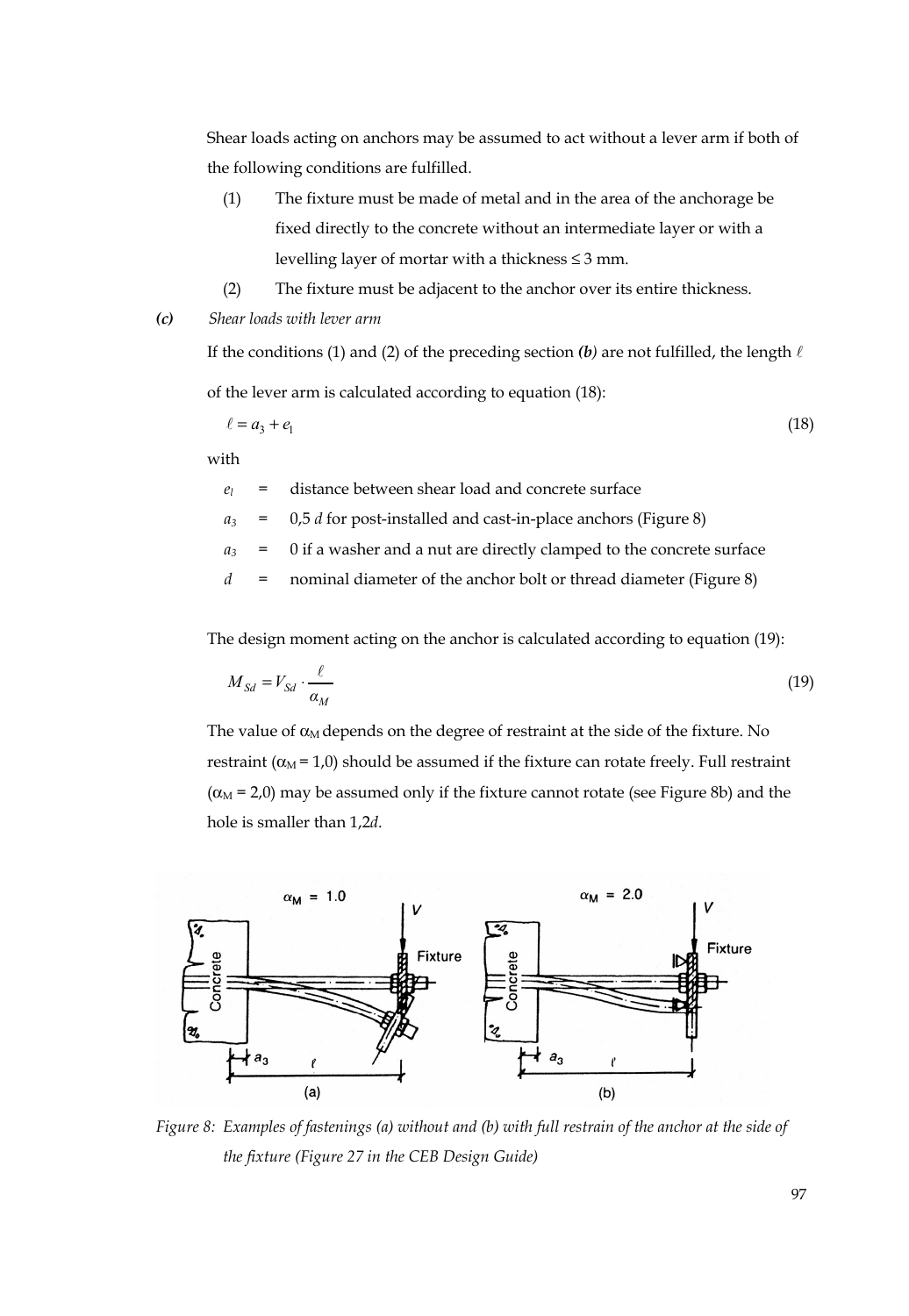Shear loads acting on anchors may be assumed to act without a lever arm if both of the following conditions are fulfilled.

- (1) The fixture must be made of metal and in the area of the anchorage be fixed directly to the concrete without an intermediate layer or with a levelling layer of mortar with a thickness  $\leq 3$  mm.
- (2) The fixture must be adjacent to the anchor over its entire thickness.
- *(c) Shear loads with lever arm*

If the conditions (1) and (2) of the preceding section  $(b)$  are not fulfilled, the length  $\ell$ of the lever arm is calculated according to equation (18):

$$
\ell = a_3 + e_1 \tag{18}
$$

with

- $e_l$  = distance between shear load and concrete surface
- $a_3 = 0.5$  *d* for post-installed and cast-in-place anchors (Figure 8)
- $a_3$  = 0 if a washer and a nut are directly clamped to the concrete surface
- $d =$  nominal diameter of the anchor bolt or thread diameter (Figure 8)

The design moment acting on the anchor is calculated according to equation (19):

$$
M_{Sd} = V_{Sd} \cdot \frac{\ell}{\alpha_M} \tag{19}
$$

The value of  $\alpha_M$  depends on the degree of restraint at the side of the fixture. No restraint ( $\alpha_M$  = 1,0) should be assumed if the fixture can rotate freely. Full restraint  $(\alpha_M = 2,0)$  may be assumed only if the fixture cannot rotate (see Figure 8b) and the hole is smaller than 1,2*d*.



*Figure 8: Examples of fastenings (a) without and (b) with full restrain of the anchor at the side of the fixture (Figure 27 in the CEB Design Guide)*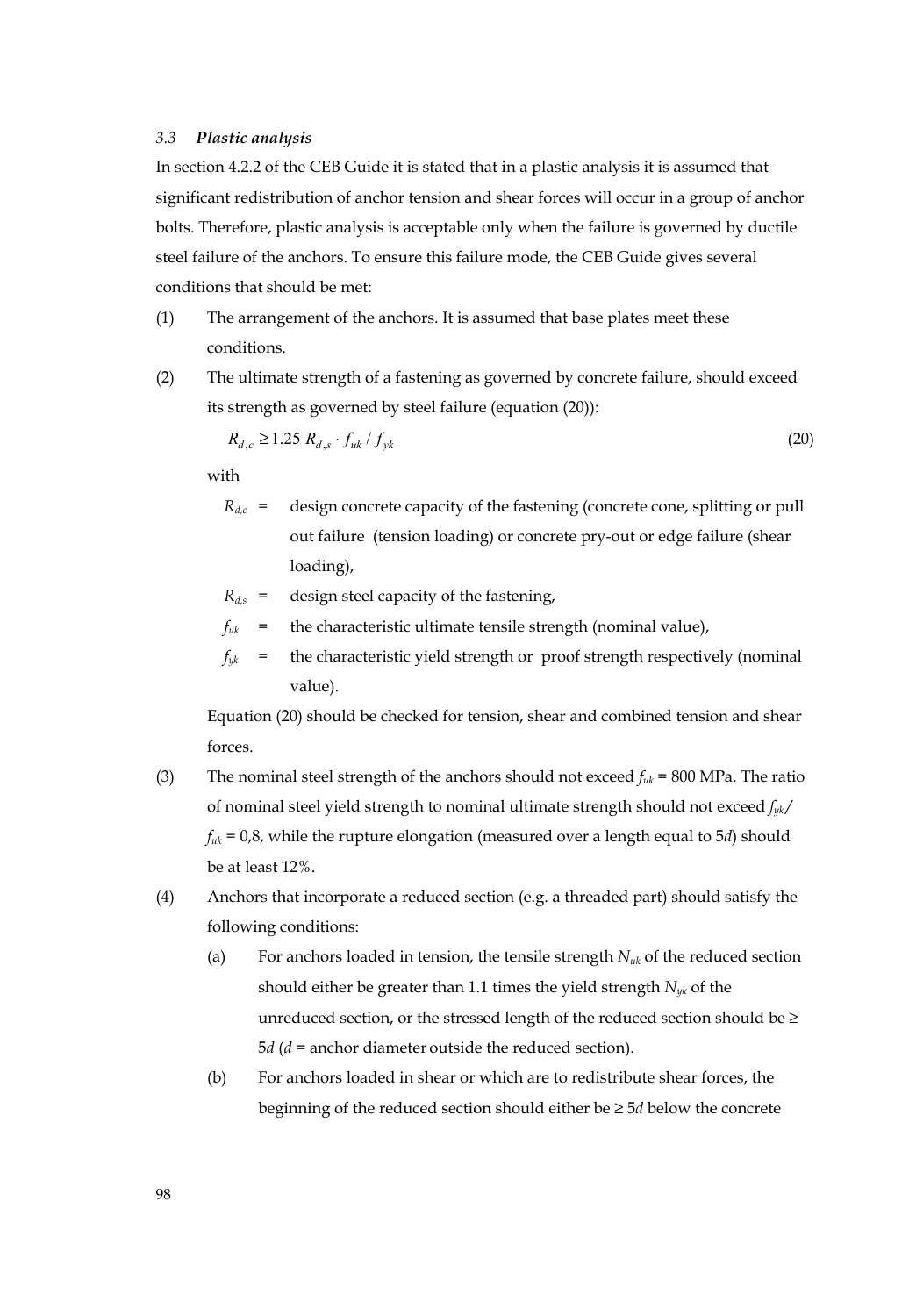#### *3.3 Plastic analysis*

In section 4.2.2 of the CEB Guide it is stated that in a plastic analysis it is assumed that significant redistribution of anchor tension and shear forces will occur in a group of anchor bolts. Therefore, plastic analysis is acceptable only when the failure is governed by ductile steel failure of the anchors. To ensure this failure mode, the CEB Guide gives several conditions that should be met:

- (1) The arrangement of the anchors. It is assumed that base plates meet these conditions.
- (2) The ultimate strength of a fastening as governed by concrete failure, should exceed its strength as governed by steel failure (equation (20)):

$$
R_{d,c} \ge 1.25 R_{d,s} \cdot f_{uk} / f_{vk} \tag{20}
$$

with

 $R_{dc}$  = design concrete capacity of the fastening (concrete cone, splitting or pull out failure (tension loading) or concrete pry-out or edge failure (shear loading),

 $R_{ds}$  = design steel capacity of the fastening,

 $f_{uk}$  = the characteristic ultimate tensile strength (nominal value),

 $f_{yk}$  = the characteristic yield strength or proof strength respectively (nominal value).

Equation (20) should be checked for tension, shear and combined tension and shear forces.

- (3) The nominal steel strength of the anchors should not exceed *fuk* = 800 MPa. The ratio of nominal steel yield strength to nominal ultimate strength should not exceed *fyk / fuk* = 0,8, while the rupture elongation (measured over a length equal to 5*d*) should be at least 12%.
- (4) Anchors that incorporate a reduced section (e.g. a threaded part) should satisfy the following conditions:
	- (a) For anchors loaded in tension, the tensile strength *Nuk* of the reduced section should either be greater than 1.1 times the yield strength *Nyk* of the unreduced section, or the stressed length of the reduced section should be  $\geq$ 5*d* (*d* = anchor diameter outside the reduced section).
	- (b) For anchors loaded in shear or which are to redistribute shear forces, the beginning of the reduced section should either be ≥ 5*d* below the concrete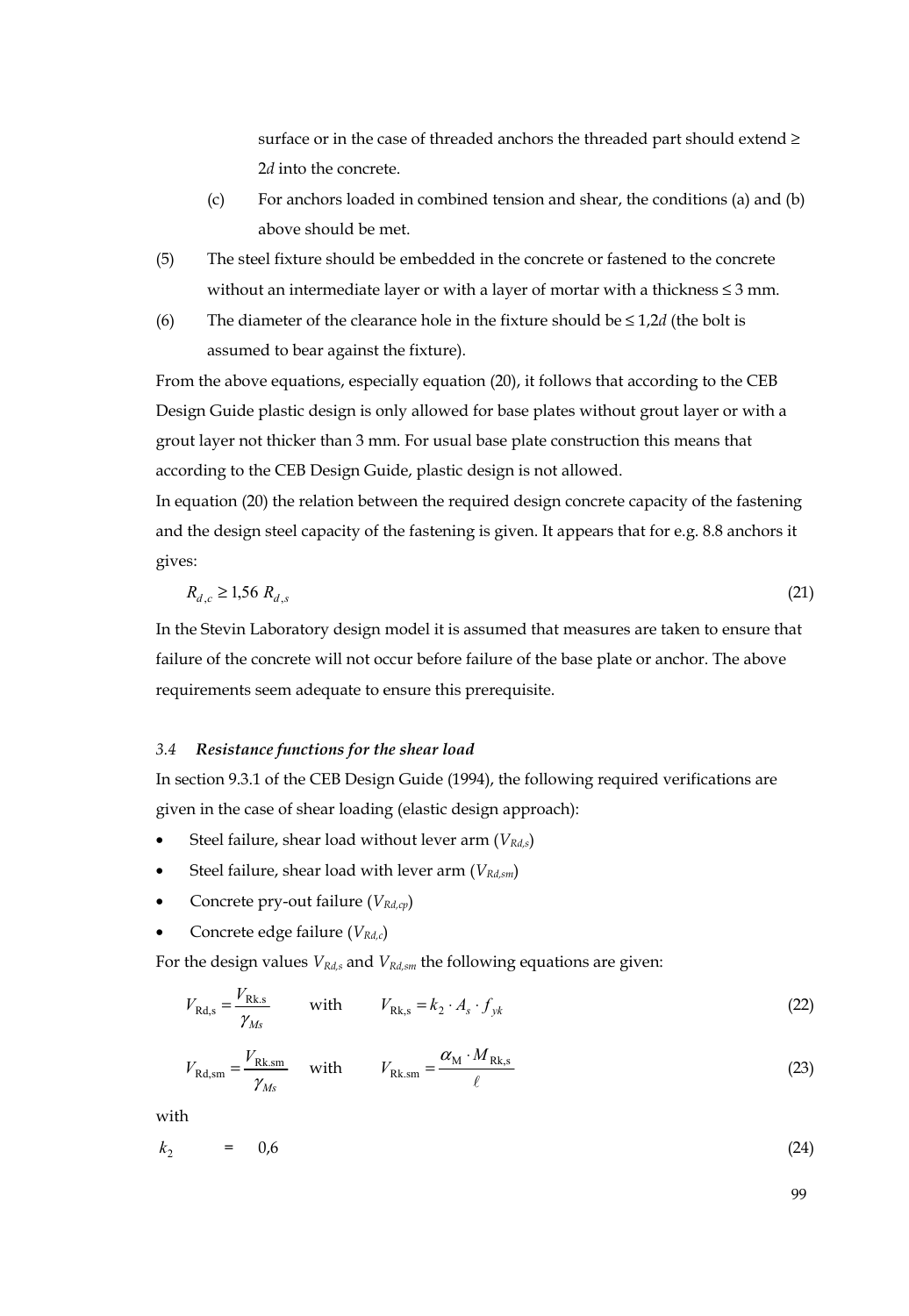surface or in the case of threaded anchors the threaded part should extend ≥ 2*d* into the concrete.

- (c) For anchors loaded in combined tension and shear, the conditions (a) and (b) above should be met.
- (5) The steel fixture should be embedded in the concrete or fastened to the concrete without an intermediate layer or with a layer of mortar with a thickness  $\leq$  3 mm.
- (6) The diameter of the clearance hole in the fixture should be ≤ 1,2*d* (the bolt is assumed to bear against the fixture).

From the above equations, especially equation (20), it follows that according to the CEB Design Guide plastic design is only allowed for base plates without grout layer or with a grout layer not thicker than 3 mm. For usual base plate construction this means that according to the CEB Design Guide, plastic design is not allowed.

In equation (20) the relation between the required design concrete capacity of the fastening and the design steel capacity of the fastening is given. It appears that for e.g. 8.8 anchors it gives:

$$
R_{d,c} \ge 1,56 \ R_{d,s} \tag{21}
$$

In the Stevin Laboratory design model it is assumed that measures are taken to ensure that failure of the concrete will not occur before failure of the base plate or anchor. The above requirements seem adequate to ensure this prerequisite.

#### *3.4 Resistance functions for the shear load*

In section 9.3.1 of the CEB Design Guide (1994), the following required verifications are given in the case of shear loading (elastic design approach):

- Steel failure, shear load without lever arm ( $V_{Rd,s}$ )
- Steel failure, shear load with lever arm ( $V_{Rd,sm}$ )
- Concrete pry-out failure ( $V_{Rd,cp}$ )
- Concrete edge failure (*VRd,c*)

For the design values  $V_{Rd,s}$  and  $V_{Rd,sm}$  the following equations are given:

$$
V_{\text{Rd,s}} = \frac{V_{\text{Rk,s}}}{\gamma_{\text{Ms}}} \qquad \text{with} \qquad V_{\text{Rk,s}} = k_2 \cdot A_s \cdot f_{\text{yk}} \tag{22}
$$

$$
V_{\text{Rd,sm}} = \frac{V_{\text{Rk,sm}}}{\gamma_{Ms}} \quad \text{with} \quad V_{\text{Rk,sm}} = \frac{\alpha_{\text{M}} \cdot M_{\text{Rk,s}}}{\ell} \tag{23}
$$

with

$$
k_2 = 0.6 \tag{24}
$$

99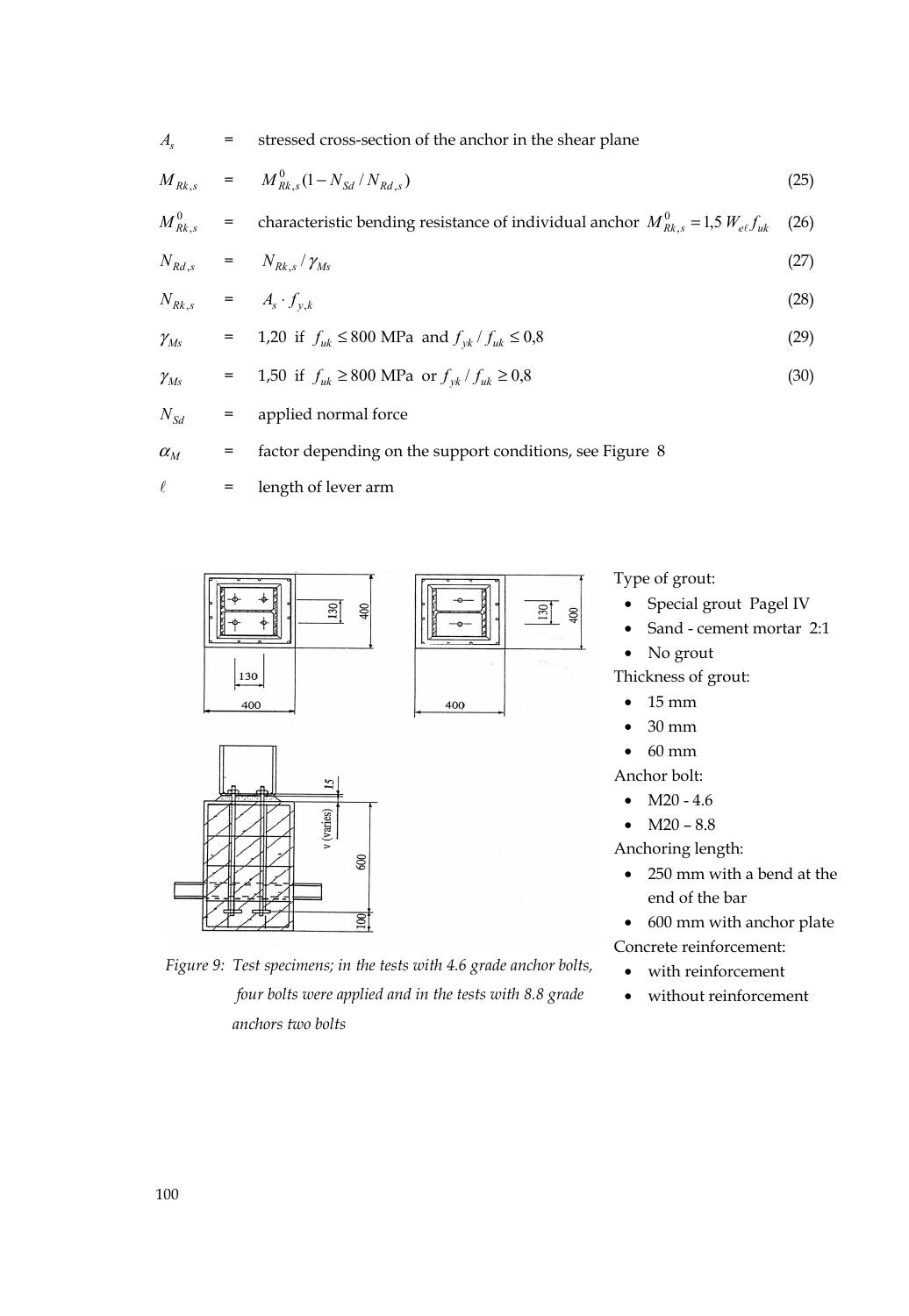| $A_{\rm s}$   | $=$ | stressed cross-section of the anchor in the shear plane                                                    |      |
|---------------|-----|------------------------------------------------------------------------------------------------------------|------|
|               |     | $M_{Rk,s}$ = $M_{Rk,s}^0 (1 - N_{Sd} / N_{Rd,s})$                                                          | (25) |
|               |     | $M_{Rk,s}^0$ = characteristic bending resistance of individual anchor $M_{Rk,s}^0$ = 1,5 $W_{e\ell}f_{uk}$ | (26) |
|               |     | $N_{Rd,s}$ = $N_{Rk,s}/\gamma_{Ms}$                                                                        | (27) |
|               |     | $N_{Rk,s}$ = $A_s \cdot f_{y,k}$                                                                           | (28) |
|               |     | $\gamma_{Ms}$ = 1,20 if $f_{uk} \le 800$ MPa and $f_{vk} / f_{uk} \le 0.8$                                 | (29) |
| $\gamma_{Ms}$ |     | = 1,50 if $f_{uk} \ge 800$ MPa or $f_{vk} / f_{uk} \ge 0.8$                                                | (30) |
| $N_{Sd}$      | $=$ | applied normal force                                                                                       |      |
| $\alpha_M$    | $=$ | factor depending on the support conditions, see Figure 8                                                   |      |





 $\ell$  = length of lever arm



Type of grout:

- Special grout Pagel IV
- Sand cement mortar 2:1
- No grout

Thickness of grout:

- 15 mm
- $\bullet$  30 mm
- $\bullet$  60 mm

Anchor bolt:

- $M20 4.6$
- $M20 8.8$

Anchoring length:

• 250 mm with a bend at the end of the bar

• 600 mm with anchor plate Concrete reinforcement:

- with reinforcement
- without reinforcement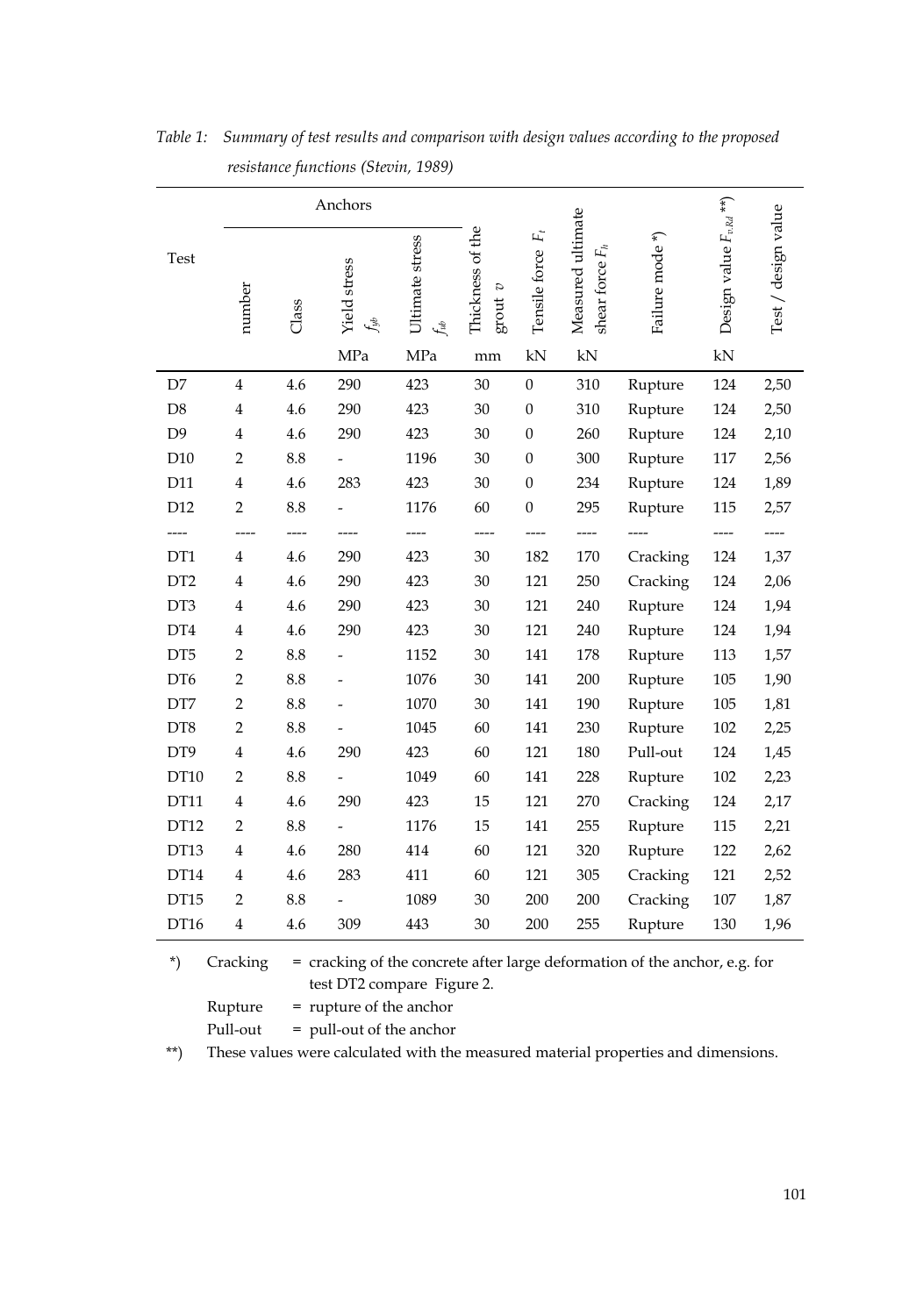|                 | Anchors        |                 |                                 |                       |                                            |                        |                                        |                 |                                    |                     |
|-----------------|----------------|-----------------|---------------------------------|-----------------------|--------------------------------------------|------------------------|----------------------------------------|-----------------|------------------------------------|---------------------|
| Test            | number         | Class           | <b>Yield</b> stress<br>$f_{yb}$ | Ultimate stress<br>fм | Thickness of the<br>grout $\boldsymbol{v}$ | $F_t$<br>Tensile force | Measured ultimate<br>shear force $F_h$ | Failure mode *) | Design value $F_{v, Rd}$ $^{**}$ ) | Test / design value |
|                 |                |                 | MPa                             | MPa                   | mm                                         | kN                     | $\rm{kN}$                              |                 | kN                                 |                     |
| D7              | $\overline{4}$ | 4.6             | 290                             | 423                   | 30                                         | $\boldsymbol{0}$       | 310                                    | Rupture         | 124                                | 2,50                |
| D <sub>8</sub>  | $\overline{4}$ | 4.6             | 290                             | 423                   | 30                                         | $\boldsymbol{0}$       | 310                                    | Rupture         | 124                                | 2,50                |
| D <sub>9</sub>  | $\overline{4}$ | 4.6             | 290                             | 423                   | 30                                         | $\boldsymbol{0}$       | 260                                    | Rupture         | 124                                | 2,10                |
| D <sub>10</sub> | $\overline{2}$ | $\!\!\!\!\!8.8$ |                                 | 1196                  | 30                                         | $\boldsymbol{0}$       | 300                                    | Rupture         | 117                                | 2,56                |
| D11             | $\overline{4}$ | 4.6             | 283                             | 423                   | 30                                         | $\mathbf{0}$           | 234                                    | Rupture         | 124                                | 1,89                |
| D12             | $\overline{2}$ | 8.8             |                                 | 1176                  | 60                                         | $\boldsymbol{0}$       | 295                                    | Rupture         | 115                                | 2,57                |
|                 |                | ----            | ----                            |                       |                                            |                        | ----                                   |                 | ----                               | ----                |
| DT1             | $\overline{4}$ | 4.6             | 290                             | 423                   | 30                                         | 182                    | 170                                    | Cracking        | 124                                | 1,37                |
| DT <sub>2</sub> | $\overline{4}$ | 4.6             | 290                             | 423                   | 30                                         | 121                    | 250                                    | Cracking        | 124                                | 2,06                |
| DT3             | $\overline{4}$ | 4.6             | 290                             | 423                   | 30                                         | 121                    | 240                                    | Rupture         | 124                                | 1,94                |
| DT4             | $\overline{4}$ | 4.6             | 290                             | 423                   | 30                                         | 121                    | 240                                    | Rupture         | 124                                | 1,94                |
| DT <sub>5</sub> | $\overline{2}$ | 8.8             |                                 | 1152                  | 30                                         | 141                    | 178                                    | Rupture         | 113                                | 1,57                |
| DT6             | $\overline{2}$ | $\!\!\!\!\!8.8$ |                                 | 1076                  | 30                                         | 141                    | 200                                    | Rupture         | 105                                | 1,90                |
| DT7             | $\overline{2}$ | 8.8             |                                 | 1070                  | 30                                         | 141                    | 190                                    | Rupture         | 105                                | 1,81                |
| DT8             | $\overline{2}$ | $\!\!\!\!\!8.8$ |                                 | 1045                  | 60                                         | 141                    | 230                                    | Rupture         | 102                                | 2,25                |
| DT9             | $\overline{4}$ | 4.6             | 290                             | 423                   | 60                                         | 121                    | 180                                    | Pull-out        | 124                                | 1,45                |
| DT10            | $\overline{2}$ | $\!\!\!\!\!8.8$ |                                 | 1049                  | 60                                         | 141                    | 228                                    | Rupture         | 102                                | 2,23                |
| <b>DT11</b>     | $\overline{4}$ | 4.6             | 290                             | 423                   | 15                                         | 121                    | 270                                    | Cracking        | 124                                | 2,17                |
| DT12            | $\overline{2}$ | 8.8             |                                 | 1176                  | 15                                         | 141                    | 255                                    | Rupture         | 115                                | 2,21                |
| DT13            | $\overline{4}$ | 4.6             | 280                             | 414                   | 60                                         | 121                    | 320                                    | Rupture         | 122                                | 2,62                |
| DT14            | 4              | 4.6             | 283                             | 411                   | 60                                         | 121                    | 305                                    | Cracking        | 121                                | 2,52                |
| DT15            | $\overline{2}$ | $\!\!\!\!\!8.8$ |                                 | 1089                  | 30                                         | 200                    | 200                                    | Cracking        | 107                                | 1,87                |
| DT16            | $\overline{4}$ | 4.6             | 309                             | 443                   | 30                                         | 200                    | 255                                    | Rupture         | 130                                | 1,96                |

*Table 1: Summary of test results and comparison with design values according to the proposed resistance functions (Stevin, 1989)* 

\*) Cracking = cracking of the concrete after large deformation of the anchor, e.g. for

test DT2 compare Figure 2.

Rupture = rupture of the anchor

Pull-out = pull-out of the anchor

\*\*) These values were calculated with the measured material properties and dimensions.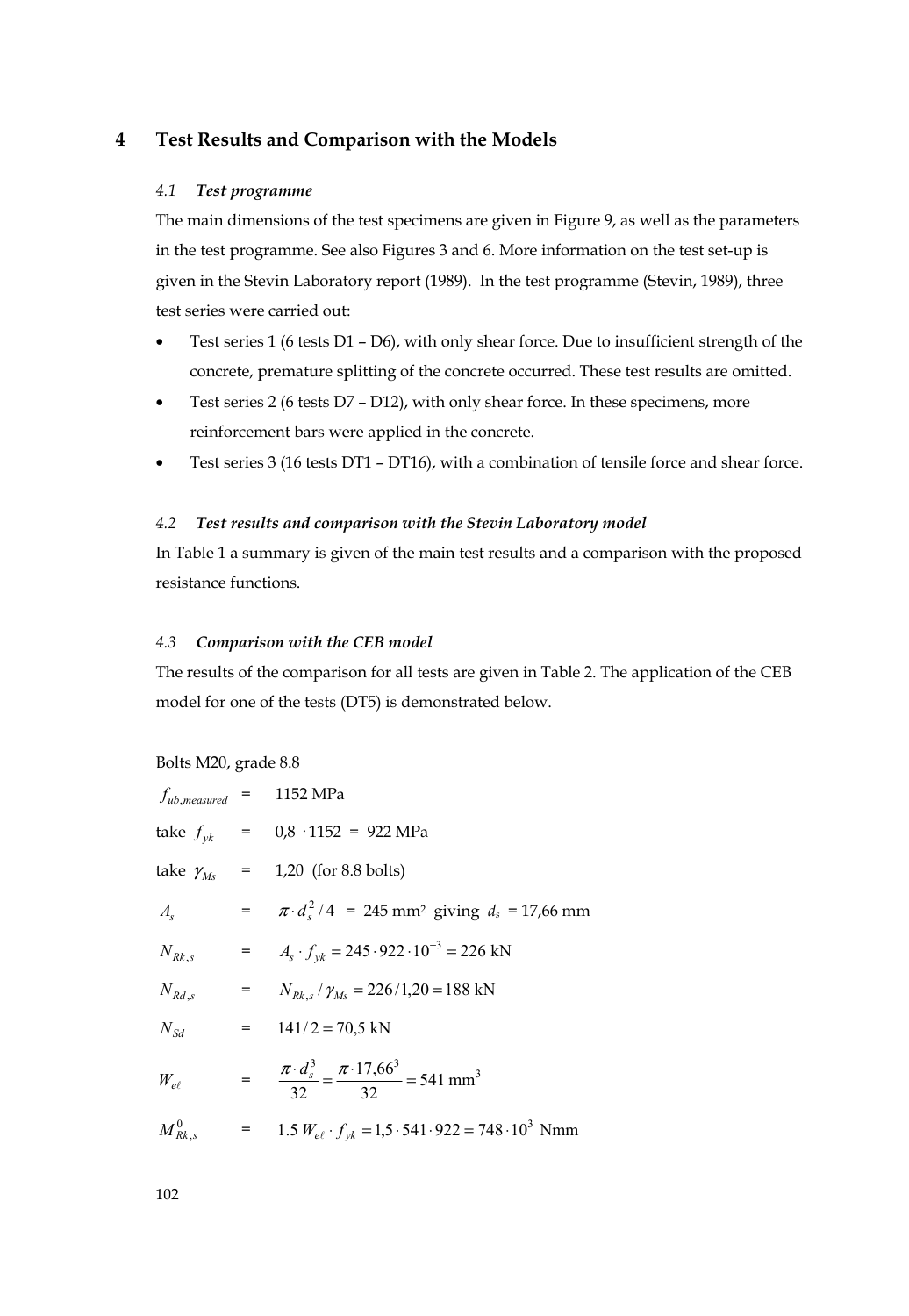## **4 Test Results and Comparison with the Models**

#### *4.1 Test programme*

The main dimensions of the test specimens are given in Figure 9, as well as the parameters in the test programme. See also Figures 3 and 6. More information on the test set-up is given in the Stevin Laboratory report (1989). In the test programme (Stevin, 1989), three test series were carried out:

- Test series 1 (6 tests D1 D6), with only shear force. Due to insufficient strength of the concrete, premature splitting of the concrete occurred. These test results are omitted.
- Test series 2 (6 tests D7 D12), with only shear force. In these specimens, more reinforcement bars were applied in the concrete.
- Test series 3 (16 tests DT1 DT16), with a combination of tensile force and shear force.

#### *4.2 Test results and comparison with the Stevin Laboratory model*

In Table 1 a summary is given of the main test results and a comparison with the proposed resistance functions.

## *4.3 Comparison with the CEB model*

The results of the comparison for all tests are given in Table 2. The application of the CEB model for one of the tests (DT5) is demonstrated below.

#### Bolts M20, grade 8.8

|              |     | $f_{ub,measured}$ = 1152 MPa                                                        |
|--------------|-----|-------------------------------------------------------------------------------------|
|              |     | take $f_{yk}$ = 0,8 · 1152 = 922 MPa                                                |
|              |     | take $\gamma_{Ms}$ = 1,20 (for 8.8 bolts)                                           |
| $A_{s}$      |     | = $\pi \cdot d_s^2/4$ = 245 mm <sup>2</sup> giving $d_s$ = 17,66 mm                 |
| $N_{Rk,s}$   |     | $=$ $A_s \cdot f_{vk} = 245.922 \cdot 10^{-3} = 226$ kN                             |
| $N_{Rd,s}$   |     | $N_{Rk,s}/\gamma_{Ms} = 226/1,20 = 188$ kN                                          |
| $N_{Sd}$     |     | $= 141/2 = 70.5$ kN                                                                 |
| $W_{el}$     |     | = $\frac{\pi \cdot d_s^3}{32} = \frac{\pi \cdot 17,66^3}{32} = 541$ mm <sup>3</sup> |
| $M^0_{Rk,s}$ | $=$ | $1.5 W_{e\ell} \cdot f_{\nu k} = 1.5.541.922 = 748.10^3$ Nmm                        |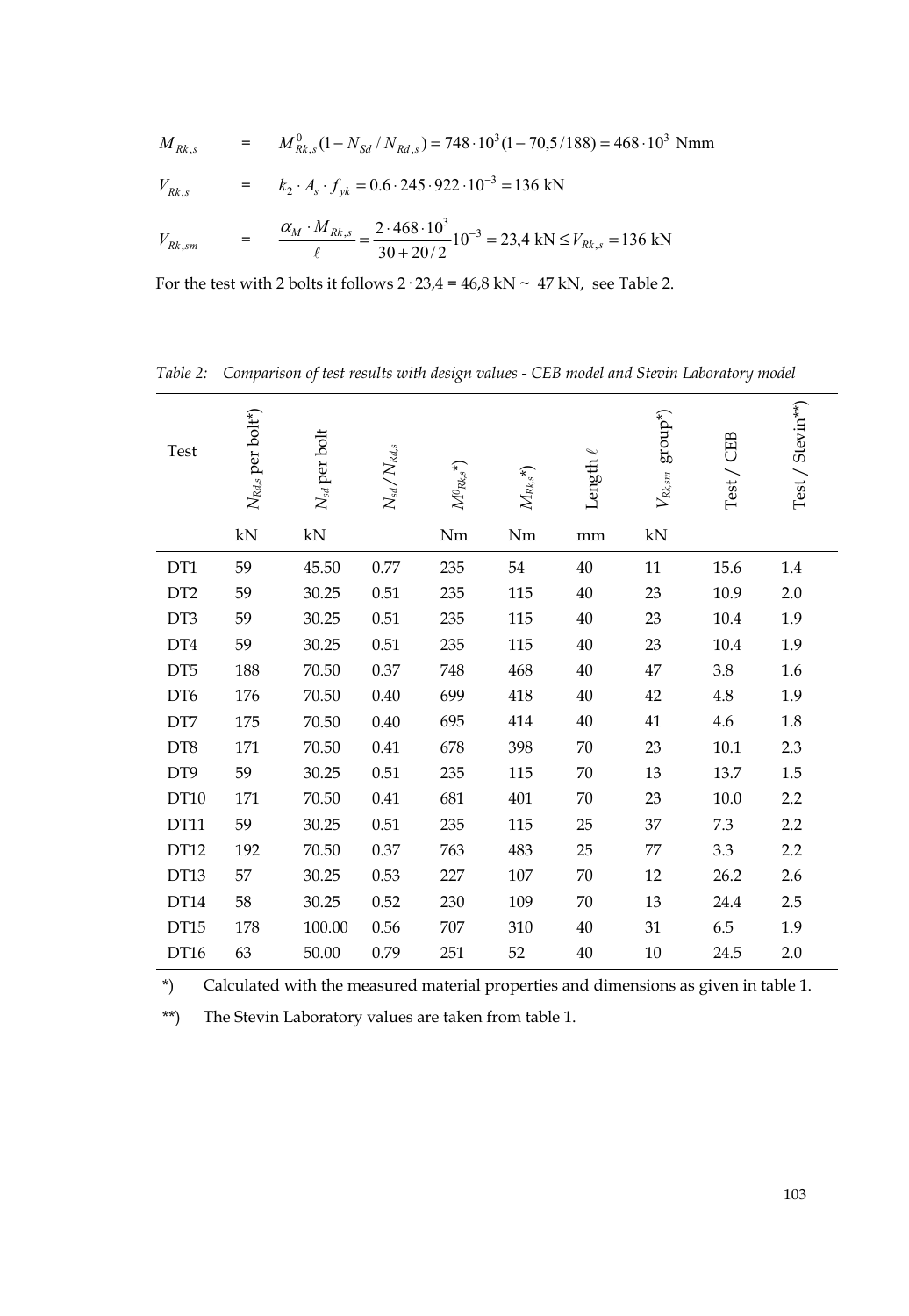$$
M_{Rk,s} = M_{Rk,s}^{0} (1 - N_{Sd} / N_{Rd,s}) = 748 \cdot 10^{3} (1 - 70,5/188) = 468 \cdot 10^{3} \text{ Nmm}
$$
  
\n
$$
V_{Rk,s} = k_{2} \cdot A_{s} \cdot f_{yk} = 0.6 \cdot 245 \cdot 922 \cdot 10^{-3} = 136 \text{ kN}
$$
  
\n
$$
V_{Rk,s} = 2 \cdot 468 \cdot 10^{3} \text{ N} = 22.41 \text{ N} \cdot K = 1261 \text{ N}
$$

$$
V_{Rk,sm} = \frac{\alpha_M \cdot M_{Rk,s}}{\ell} = \frac{2 \cdot 468 \cdot 10^3}{30 + 20/2} 10^{-3} = 23,4 \text{ kN} \le V_{Rk,s} = 136 \text{ kN}
$$

For the test with 2 bolts it follows  $2 \cdot 23.4 = 46.8 \text{ kN} \sim 47 \text{ kN}$ , see Table 2.

| Test            | $N_{Rd,s}$ per bolt*) | $N_{sd}$ per bolt | $N_{sd}/N_{Rd,s}$ | $M^0_{Rk,s}$ *) | $M_{Rk,s}{}^\star)$ | Length $\ell$ | $V_{Rk,snr}$ $\text{group}^*$ ) | CEB<br>Test $/$ | Test / Stevin**) |
|-----------------|-----------------------|-------------------|-------------------|-----------------|---------------------|---------------|---------------------------------|-----------------|------------------|
|                 | kN                    | kN                |                   | Nm              | Nm                  | mm            | kN                              |                 |                  |
| DT1             | 59                    | 45.50             | 0.77              | 235             | 54                  | 40            | 11                              | 15.6            | 1.4              |
| DT <sub>2</sub> | 59                    | 30.25             | 0.51              | 235             | 115                 | 40            | 23                              | 10.9            | 2.0              |
| DT3             | 59                    | 30.25             | 0.51              | 235             | 115                 | 40            | 23                              | 10.4            | 1.9              |
| DT4             | 59                    | 30.25             | $0.51\,$          | 235             | 115                 | 40            | 23                              | 10.4            | 1.9              |
| DT <sub>5</sub> | 188                   | 70.50             | 0.37              | 748             | 468                 | 40            | 47                              | 3.8             | 1.6              |
| DT <sub>6</sub> | 176                   | 70.50             | 0.40              | 699             | 418                 | 40            | 42                              | 4.8             | 1.9              |
| DT7             | 175                   | 70.50             | 0.40              | 695             | 414                 | 40            | 41                              | 4.6             | 1.8              |
| DT <sub>8</sub> | 171                   | 70.50             | 0.41              | 678             | 398                 | 70            | 23                              | 10.1            | 2.3              |
| DT9             | 59                    | 30.25             | 0.51              | 235             | 115                 | 70            | 13                              | 13.7            | 1.5              |
| DT10            | 171                   | 70.50             | 0.41              | 681             | 401                 | 70            | 23                              | 10.0            | 2.2              |
| <b>DT11</b>     | 59                    | 30.25             | 0.51              | 235             | 115                 | 25            | 37                              | 7.3             | 2.2              |
| DT12            | 192                   | 70.50             | 0.37              | 763             | 483                 | 25            | 77                              | 3.3             | 2.2              |
| <b>DT13</b>     | 57                    | 30.25             | 0.53              | 227             | 107                 | 70            | 12                              | 26.2            | 2.6              |
| DT14            | 58                    | 30.25             | 0.52              | 230             | 109                 | 70            | 13                              | 24.4            | 2.5              |
| DT15            | 178                   | 100.00            | 0.56              | 707             | 310                 | 40            | 31                              | 6.5             | 1.9              |
| DT16            | 63                    | 50.00             | 0.79              | 251             | 52                  | 40            | 10                              | 24.5            | 2.0              |

*Table 2: Comparison of test results with design values - CEB model and Stevin Laboratory model* 

\*) Calculated with the measured material properties and dimensions as given in table 1.

\*\*) The Stevin Laboratory values are taken from table 1.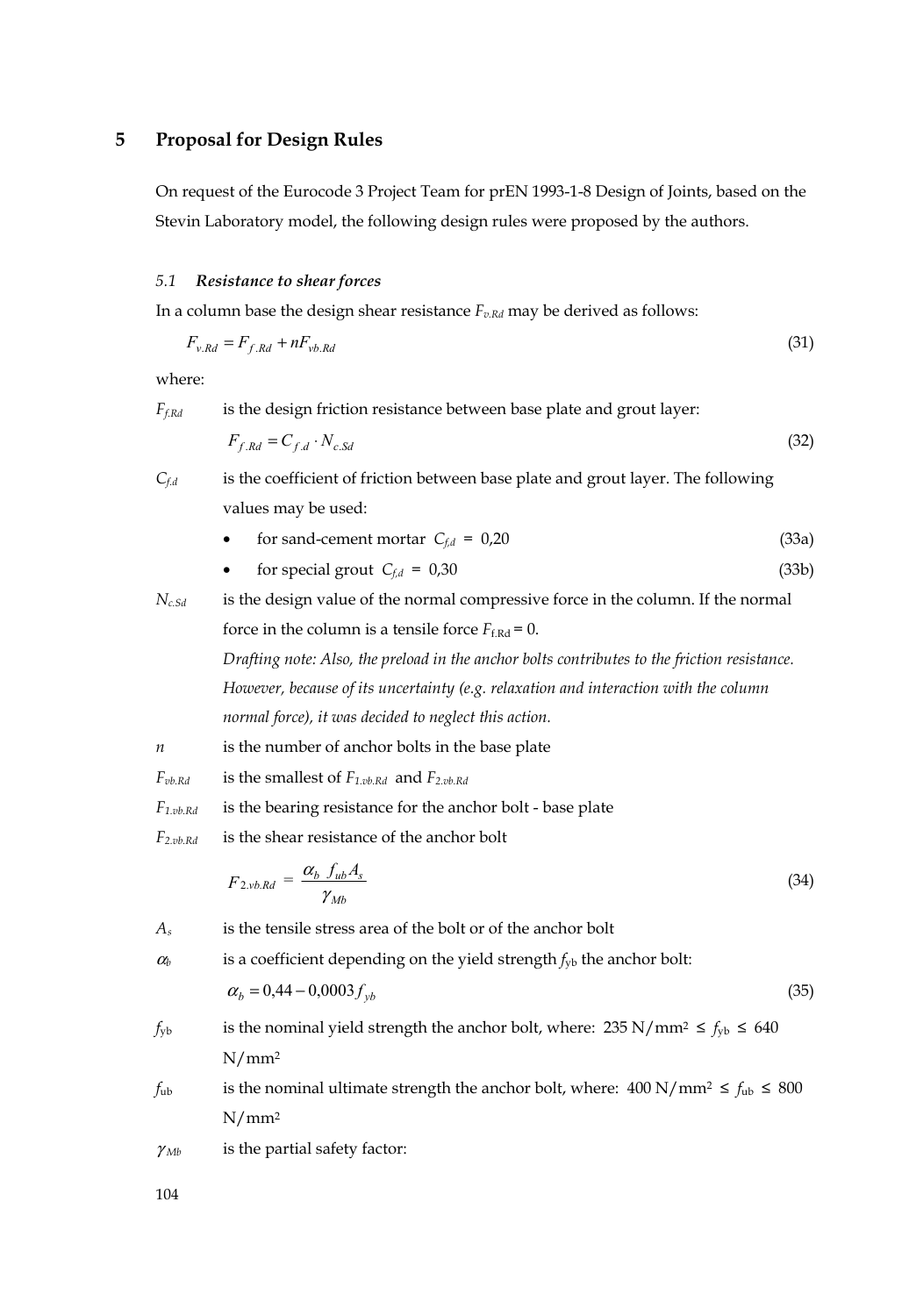## **5 Proposal for Design Rules**

On request of the Eurocode 3 Project Team for prEN 1993-1-8 Design of Joints, based on the Stevin Laboratory model, the following design rules were proposed by the authors.

#### *5.1 Resistance to shear forces*

In a column base the design shear resistance  $F_{v.Rd}$  may be derived as follows:

$$
F_{v,Rd} = F_{f,Rd} + nF_{vb,Rd} \tag{31}
$$

where:

*Ff.Rd* is the design friction resistance between base plate and grout layer:

$$
F_{f.Rd} = C_{f.d} \cdot N_{c.Sd} \tag{32}
$$

$$
C_{f,d}
$$
 is the coefficient of friction between base plate and growth layer. The following values may be used:

- $\text{for sand-cement mortar } C_{f,d} = 0,20$  (33a)
- $\text{for special growth } C_{f,d} = 0.30$  (33b)

$$
N_{c, Sd}
$$
 is the design value of the normal compressive force in the column. If the normal force in the column is a tensile force  $F_{f,Rd} = 0$ .

*Drafting note: Also, the preload in the anchor bolts contributes to the friction resistance. However, because of its uncertainty (e.g. relaxation and interaction with the column normal force), it was decided to neglect this action.* 

- *n* is the number of anchor bolts in the base plate
- *Fvb.Rd* is the smallest of *F1.vb.Rd* and *F2.vb.Rd*
- *F1.vb.Rd* is the bearing resistance for the anchor bolt base plate

*F2.vb.Rd* is the shear resistance of the anchor bolt

$$
F_{2,vb,Rd} = \frac{\alpha_b f_{ub} A_s}{\gamma_{Mb}}
$$
(34)

$$
A_s
$$
 is the tensile stress area of the bolt or of the anchor bolt

 $\alpha_b$  is a coefficient depending on the yield strength  $f_{yb}$  the anchor bolt:

$$
\alpha_b = 0.44 - 0.0003 f_{yb} \tag{35}
$$

- $f_{\text{vb}}$  is the nominal yield strength the anchor bolt, where: 235 N/mm<sup>2</sup>  $\leq f_{\text{vb}} \leq 640$  $N/mm<sup>2</sup>$
- *f*ub is the nominal ultimate strength the anchor bolt, where:  $400 \text{ N/mm}^2 \le f_{\text{ub}} \le 800$ N/mm2
- $\gamma_{Mb}$  is the partial safety factor:

104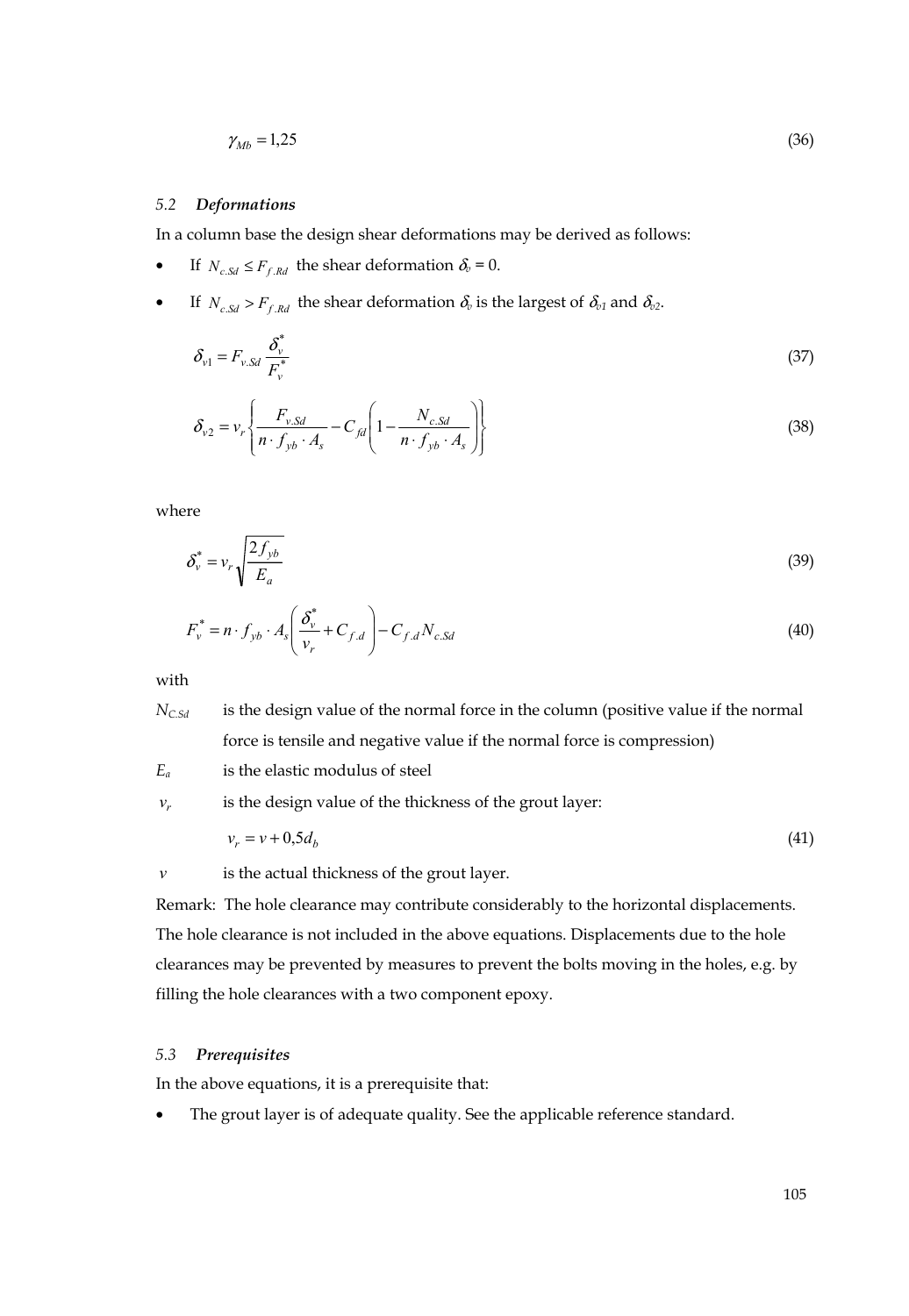$$
\gamma_{Mb} = 1.25\tag{36}
$$

#### *5.2 Deformations*

In a column base the design shear deformations may be derived as follows:

- If  $N_{c, Sd} \leq F_{f, Rd}$  the shear deformation  $\delta_v = 0$ .
- If  $N_{c, Sd} > F_{f, Rd}$  the shear deformation  $\delta_v$  is the largest of  $\delta_{v1}$  and  $\delta_{v2}$ .

$$
\delta_{\nu l} = F_{\nu, Sd} \frac{\delta_{\nu}^*}{F_{\nu}^*}
$$
\n(37)

$$
\delta_{v2} = v_r \left\{ \frac{F_{v, Sd}}{n \cdot f_{yb} \cdot A_s} - C_{fd} \left( 1 - \frac{N_{c, Sd}}{n \cdot f_{yb} \cdot A_s} \right) \right\}
$$
(38)

where

$$
\delta_v^* = v_r \sqrt{\frac{2f_{yb}}{E_a}}
$$
\n(39)

$$
F_{\nu}^* = n \cdot f_{yb} \cdot A_s \left( \frac{\delta_{\nu}^*}{\nu_r} + C_{f,d} \right) - C_{f,d} N_{c,3d}
$$
 (40)

with

*N<sub>C.Sd</sub>* is the design value of the normal force in the column (positive value if the normal force is tensile and negative value if the normal force is compression)

*Ea* is the elastic modulus of steel

 $v_r$  is the design value of the thickness of the grout layer:

$$
v_r = v + 0.5d_b \tag{41}
$$

*v* is the actual thickness of the grout layer.

Remark: The hole clearance may contribute considerably to the horizontal displacements. The hole clearance is not included in the above equations. Displacements due to the hole clearances may be prevented by measures to prevent the bolts moving in the holes, e.g. by filling the hole clearances with a two component epoxy.

#### *5.3 Prerequisites*

In the above equations, it is a prerequisite that:

The grout layer is of adequate quality. See the applicable reference standard.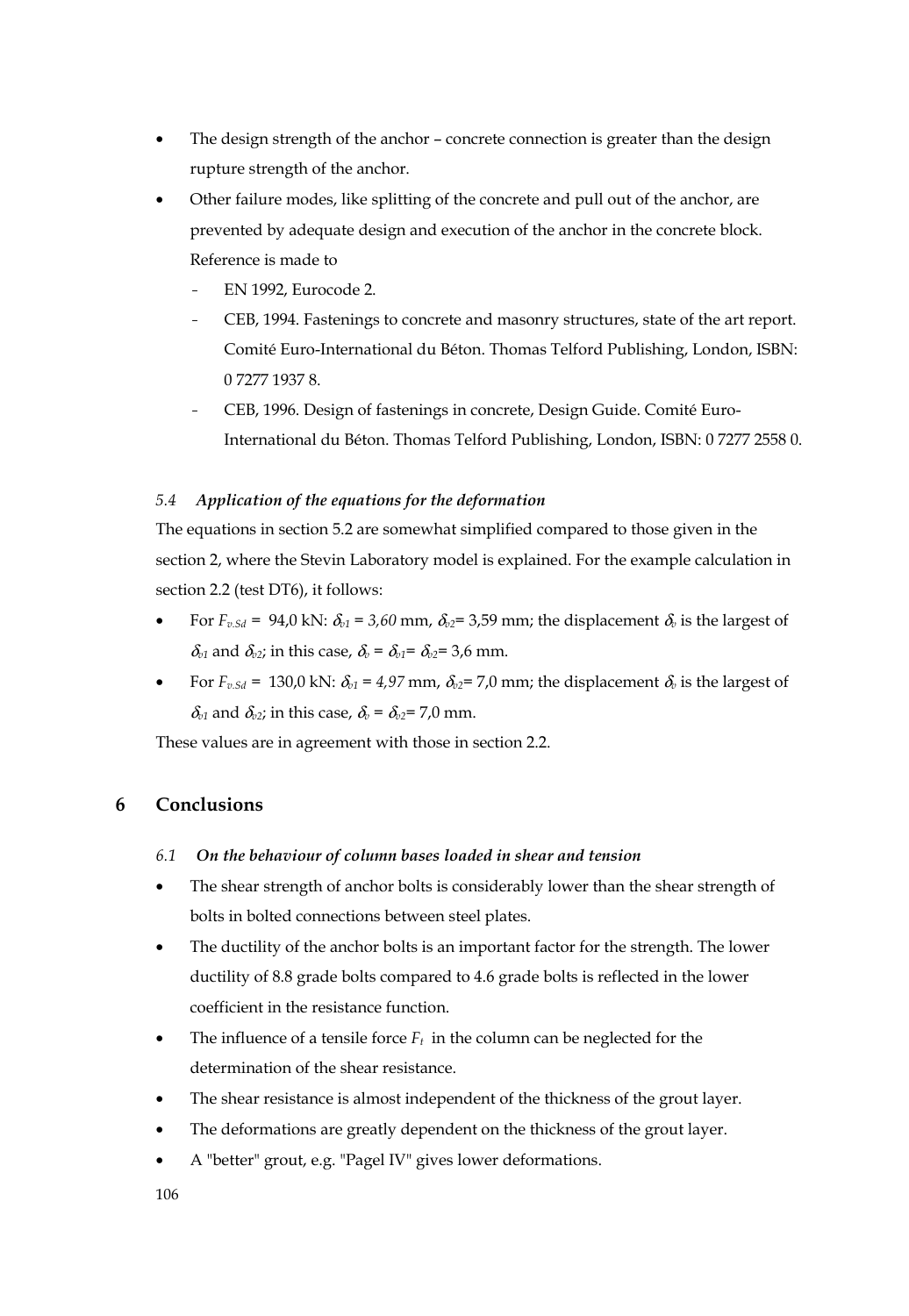- The design strength of the anchor concrete connection is greater than the design rupture strength of the anchor.
- Other failure modes, like splitting of the concrete and pull out of the anchor, are prevented by adequate design and execution of the anchor in the concrete block. Reference is made to
	- EN 1992, Eurocode 2.
	- CEB, 1994. Fastenings to concrete and masonry structures, state of the art report. Comité Euro-International du Béton. Thomas Telford Publishing, London, ISBN: 0 7277 1937 8.
	- CEB, 1996. Design of fastenings in concrete, Design Guide. Comité Euro-International du Béton. Thomas Telford Publishing, London, ISBN: 0 7277 2558 0.

## *5.4 Application of the equations for the deformation*

The equations in section 5.2 are somewhat simplified compared to those given in the section 2, where the Stevin Laboratory model is explained. For the example calculation in section 2.2 (test DT6), it follows:

- For  $F_{v, S_d}$  = 94,0 kN:  $\delta_{v1}$  = 3,60 mm,  $\delta_{v2}$  = 3,59 mm; the displacement  $\delta_v$  is the largest of  $\delta_{\nu}$  and  $\delta_{\nu}$ ; in this case,  $\delta_{\nu} = \delta_{\nu} = \delta_{\nu} = 3.6$  mm.
- For  $F_{v, Sd}$  = 130,0 kN:  $\delta_{v1}$  = 4,97 mm,  $\delta_{v2}$  = 7,0 mm; the displacement  $\delta_{v}$  is the largest of  $\delta_{\alpha}$  and  $\delta_{\alpha}$ ; in this case,  $\delta_{\alpha} = \delta_{\alpha} = 7.0$  mm.

These values are in agreement with those in section 2.2.

## **6 Conclusions**

#### *6.1 On the behaviour of column bases loaded in shear and tension*

- The shear strength of anchor bolts is considerably lower than the shear strength of bolts in bolted connections between steel plates.
- The ductility of the anchor bolts is an important factor for the strength. The lower ductility of 8.8 grade bolts compared to 4.6 grade bolts is reflected in the lower coefficient in the resistance function.
- The influence of a tensile force  $F_t$  in the column can be neglected for the determination of the shear resistance.
- The shear resistance is almost independent of the thickness of the grout layer.
- The deformations are greatly dependent on the thickness of the grout layer.
- A "better" grout, e.g. "Pagel IV" gives lower deformations.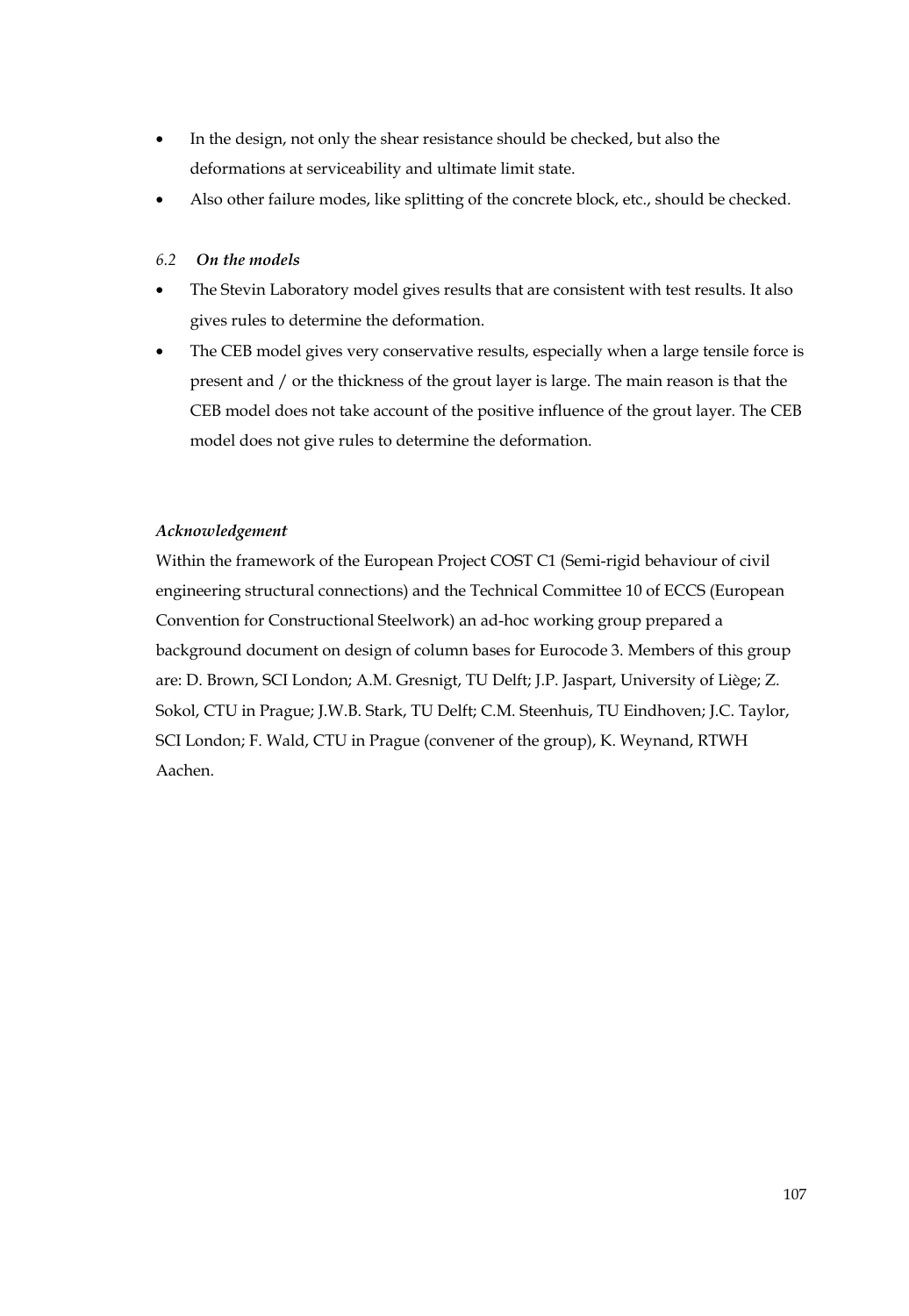- In the design, not only the shear resistance should be checked, but also the deformations at serviceability and ultimate limit state.
- Also other failure modes, like splitting of the concrete block, etc., should be checked.

## *6.2 On the models*

- The Stevin Laboratory model gives results that are consistent with test results. It also gives rules to determine the deformation.
- The CEB model gives very conservative results, especially when a large tensile force is present and / or the thickness of the grout layer is large. The main reason is that the CEB model does not take account of the positive influence of the grout layer. The CEB model does not give rules to determine the deformation.

## *Acknowledgement*

Within the framework of the European Project COST C1 (Semi-rigid behaviour of civil engineering structural connections) and the Technical Committee 10 of ECCS (European Convention for Constructional Steelwork) an ad-hoc working group prepared a background document on design of column bases for Eurocode 3. Members of this group are: D. Brown, SCI London; A.M. Gresnigt, TU Delft; J.P. Jaspart, University of Liège; Z. Sokol, CTU in Prague; J.W.B. Stark, TU Delft; C.M. Steenhuis, TU Eindhoven; J.C. Taylor, SCI London; F. Wald, CTU in Prague (convener of the group), K. Weynand, RTWH Aachen.